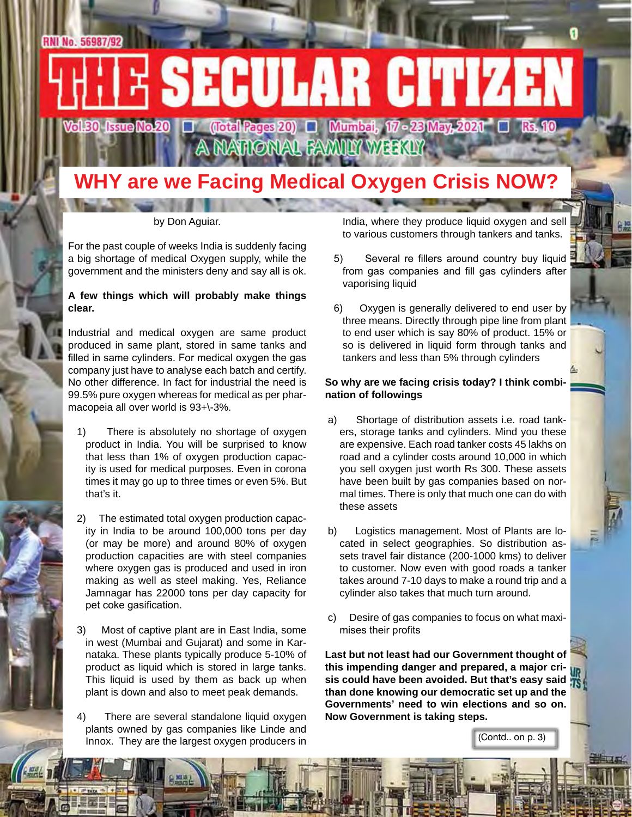### **WHY are we Facing Medical Oxygen Crisis NOW?**

A NATIONAL FAMILY WEEKLY

by Don Aguiar.

For the past couple of weeks India is suddenly facing a big shortage of medical Oxygen supply, while the government and the ministers deny and say all is ok.

### **A few things which will probably make things clear.**

Industrial and medical oxygen are same product produced in same plant, stored in same tanks and filled in same cylinders. For medical oxygen the gas company just have to analyse each batch and certify. No other difference. In fact for industrial the need is 99.5% pure oxygen whereas for medical as per pharmacopeia all over world is 93+\-3%.

- 1) There is absolutely no shortage of oxygen product in India. You will be surprised to know that less than 1% of oxygen production capacity is used for medical purposes. Even in corona times it may go up to three times or even 5%. But that's it.
- 2) The estimated total oxygen production capacity in India to be around 100,000 tons per day (or may be more) and around 80% of oxygen production capacities are with steel companies where oxygen gas is produced and used in iron making as well as steel making. Yes, Reliance Jamnagar has 22000 tons per day capacity for pet coke gasification.
- 3) Most of captive plant are in East India, some in west (Mumbai and Gujarat) and some in Karnataka. These plants typically produce 5-10% of product as liquid which is stored in large tanks. This liquid is used by them as back up when plant is down and also to meet peak demands.
- 4) There are several standalone liquid oxygen plants owned by gas companies like Linde and Innox. They are the largest oxygen producers in

India, where they produce liquid oxygen and sell to various customers through tankers and tanks.

- 5) Several re fillers around country buy liquid from gas companies and fill gas cylinders after vaporising liquid
- 6) Oxygen is generally delivered to end user by three means. Directly through pipe line from plant to end user which is say 80% of product. 15% or so is delivered in liquid form through tanks and tankers and less than 5% through cylinders

### **So why are we facing crisis today? I think combination of followings**

- a) Shortage of distribution assets i.e. road tankers, storage tanks and cylinders. Mind you these are expensive. Each road tanker costs 45 lakhs on road and a cylinder costs around 10,000 in which you sell oxygen just worth Rs 300. These assets have been built by gas companies based on normal times. There is only that much one can do with these assets
- b) Logistics management. Most of Plants are located in select geographies. So distribution assets travel fair distance (200-1000 kms) to deliver to customer. Now even with good roads a tanker takes around 7-10 days to make a round trip and a cylinder also takes that much turn around.
- c) Desire of gas companies to focus on what maximises their profits

**Last but not least had our Government thought of this impending danger and prepared, a major crisis could have been avoided. But that's easy said than done knowing our democratic set up and the Governments' need to win elections and so on. Now Government is taking steps.**

(Contd.. on p. 3)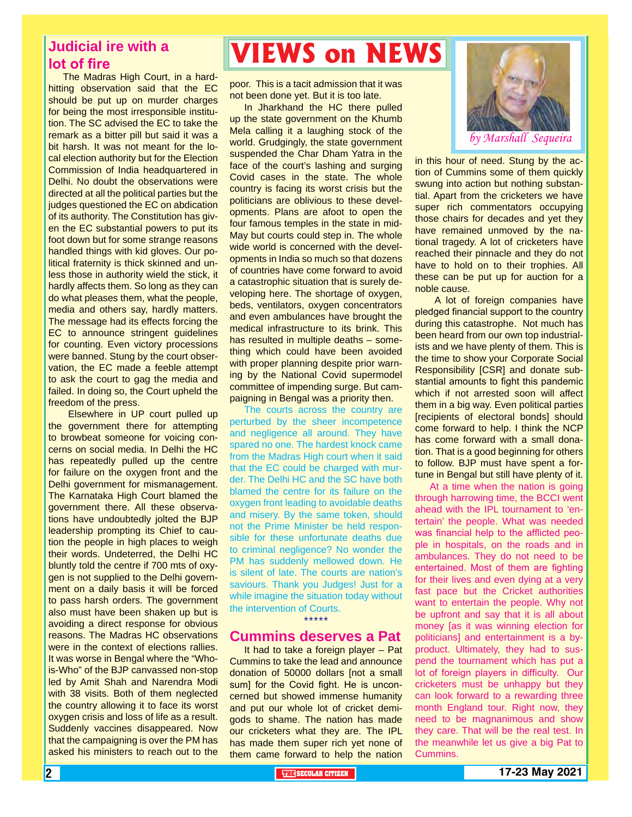### **Judicial ire with a lot of fire**

The Madras High Court, in a hardhitting observation said that the EC should be put up on murder charges for being the most irresponsible institution. The SC advised the EC to take the remark as a bitter pill but said it was a bit harsh. It was not meant for the local election authority but for the Election Commission of India headquartered in Delhi. No doubt the observations were directed at all the political parties but the judges questioned the EC on abdication of its authority. The Constitution has given the EC substantial powers to put its foot down but for some strange reasons handled things with kid gloves. Our political fraternity is thick skinned and unless those in authority wield the stick, it hardly affects them. So long as they can do what pleases them, what the people, media and others say, hardly matters. The message had its effects forcing the EC to announce stringent guidelines for counting. Even victory processions were banned. Stung by the court observation, the EC made a feeble attempt to ask the court to gag the media and failed. In doing so, the Court upheld the freedom of the press.

 Elsewhere in UP court pulled up the government there for attempting to browbeat someone for voicing concerns on social media. In Delhi the HC has repeatedly pulled up the centre for failure on the oxygen front and the Delhi government for mismanagement. The Karnataka High Court blamed the government there. All these observations have undoubtedly jolted the BJP leadership prompting its Chief to caution the people in high places to weigh their words. Undeterred, the Delhi HC bluntly told the centre if 700 mts of oxygen is not supplied to the Delhi government on a daily basis it will be forced to pass harsh orders. The government also must have been shaken up but is avoiding a direct response for obvious reasons. The Madras HC observations were in the context of elections rallies. It was worse in Bengal where the "Whois-Who" of the BJP canvassed non-stop led by Amit Shah and Narendra Modi with 38 visits. Both of them neglected the country allowing it to face its worst oxygen crisis and loss of life as a result. Suddenly vaccines disappeared. Now that the campaigning is over the PM has asked his ministers to reach out to the

# **VIEWS on NEWS**

poor. This is a tacit admission that it was not been done yet. But it is too late.

In Jharkhand the HC there pulled up the state government on the Khumb Mela calling it a laughing stock of the world. Grudgingly, the state government suspended the Char Dham Yatra in the face of the court's lashing and surging Covid cases in the state. The whole country is facing its worst crisis but the politicians are oblivious to these developments. Plans are afoot to open the four famous temples in the state in mid-May but courts could step in. The whole wide world is concerned with the developments in India so much so that dozens of countries have come forward to avoid a catastrophic situation that is surely developing here. The shortage of oxygen, beds, ventilators, oxygen concentrators and even ambulances have brought the medical infrastructure to its brink. This has resulted in multiple deaths – something which could have been avoided with proper planning despite prior warning by the National Covid supermodel committee of impending surge. But campaigning in Bengal was a priority then.

The courts across the country are perturbed by the sheer incompetence and negligence all around. They have spared no one. The hardest knock came from the Madras High court when it said that the EC could be charged with murder. The Delhi HC and the SC have both blamed the centre for its failure on the oxygen front leading to avoidable deaths and misery. By the same token, should not the Prime Minister be held responsible for these unfortunate deaths due to criminal negligence? No wonder the PM has suddenly mellowed down. He is silent of late. The courts are nation's saviours. Thank you Judges! Just for a while imagine the situation today without the intervention of Courts. \*\*\*\*\*

### **Cummins deserves a Pat**

It had to take a foreign player – Pat Cummins to take the lead and announce donation of 50000 dollars [not a small sum] for the Covid fight. He is unconcerned but showed immense humanity and put our whole lot of cricket demigods to shame. The nation has made our cricketers what they are. The IPL has made them super rich yet none of them came forward to help the nation



in this hour of need. Stung by the action of Cummins some of them quickly swung into action but nothing substantial. Apart from the cricketers we have super rich commentators occupying those chairs for decades and yet they have remained unmoved by the national tragedy. A lot of cricketers have reached their pinnacle and they do not have to hold on to their trophies. All these can be put up for auction for a noble cause.

 A lot of foreign companies have pledged financial support to the country during this catastrophe. Not much has been heard from our own top industrialists and we have plenty of them. This is the time to show your Corporate Social Responsibility [CSR] and donate substantial amounts to fight this pandemic which if not arrested soon will affect them in a big way. Even political parties [recipients of electoral bonds] should come forward to help. I think the NCP has come forward with a small donation. That is a good beginning for others to follow. BJP must have spent a fortune in Bengal but still have plenty of it.

the meanwhile let us give a big Pat to<br>Cummins. At a time when the nation is going through harrowing time, the BCCI went ahead with the IPL tournament to 'entertain' the people. What was needed was financial help to the afflicted people in hospitals, on the roads and in ambulances. They do not need to be entertained. Most of them are fighting for their lives and even dying at a very fast pace but the Cricket authorities want to entertain the people. Why not be upfront and say that it is all about money [as it was winning election for politicians] and entertainment is a byproduct. Ultimately, they had to suspend the tournament which has put a lot of foreign players in difficulty. Our cricketers must be unhappy but they can look forward to a rewarding three month England tour. Right now, they need to be magnanimous and show they care. That will be the real test. In Cummins.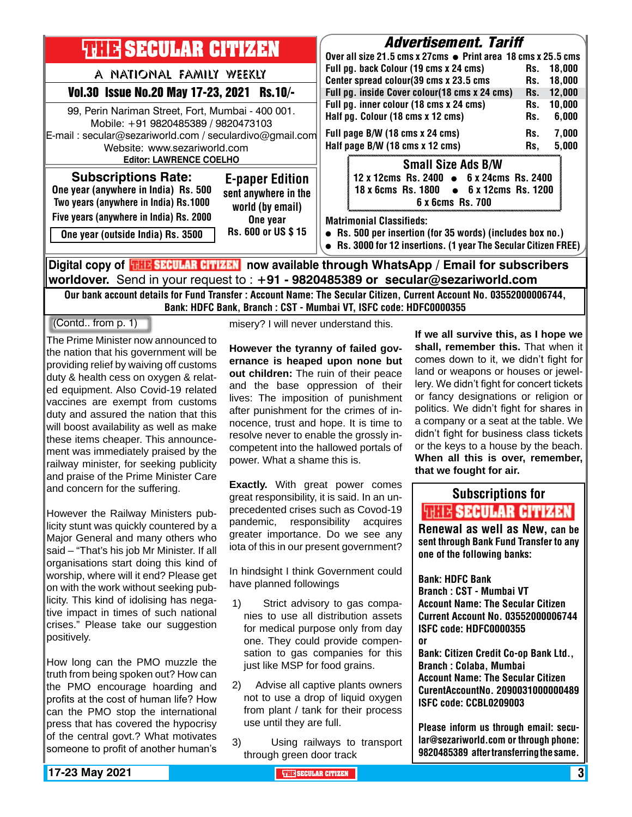| <b>THILE SECULAR CITIZEN</b>                                                                                |                                                                    | <i><b>Advertisement. Tariff</b></i><br>Over all size 21.5 cms x 27cms ● Print area 18 cms x 25.5 cms                                                            |                                                                                                         |            |                  |  |
|-------------------------------------------------------------------------------------------------------------|--------------------------------------------------------------------|-----------------------------------------------------------------------------------------------------------------------------------------------------------------|---------------------------------------------------------------------------------------------------------|------------|------------------|--|
| A NATIONAL FAMILY WEEKLY                                                                                    |                                                                    |                                                                                                                                                                 | Full pg. back Colour (19 cms x 24 cms)                                                                  | Rs.        | 18.000           |  |
| Vol.30 Issue No.20 May 17-23, 2021 Rs.10/-                                                                  |                                                                    | Center spread colour(39 cms x 23.5 cms<br>Rs.<br>Full pg. inside Cover colour(18 cms x 24 cms)<br>Rs.<br>Rs.                                                    |                                                                                                         |            | 18,000<br>12,000 |  |
| 99, Perin Nariman Street, Fort, Mumbai - 400 001.<br>Mobile: +91 9820485389 / 9820473103                    |                                                                    |                                                                                                                                                                 | Full pg. inner colour (18 cms x 24 cms)<br>Half pg. Colour (18 cms x 12 cms)                            |            | 10,000<br>6,000  |  |
| E-mail: secular@sezariworld.com / seculardivo@gmail.com<br>Website: www.sezariworld.com                     |                                                                    |                                                                                                                                                                 | Full page B/W (18 cms x 24 cms)<br>Half page B/W (18 cms x 12 cms)                                      | Rs.<br>Rs, | 7,000<br>5,000   |  |
| <b>Editor: LAWRENCE COELHO</b>                                                                              |                                                                    |                                                                                                                                                                 | <b>Small Size Ads B/W</b>                                                                               |            |                  |  |
| <b>Subscriptions Rate:</b><br>One year (anywhere in India) Rs. 500<br>Two years (anywhere in India) Rs.1000 | <b>E-paper Edition</b><br>sent anywhere in the<br>world (by email) |                                                                                                                                                                 | 12 x 12cms Rs. 2400 • 6 x 24cms Rs. 2400<br>18 x 6cms Rs. 1800 • 6 x 12cms Rs. 1200<br>6 x 6cms Rs. 700 |            |                  |  |
| Five years (anywhere in India) Rs. 2000<br>One year (outside India) Rs. 3500                                | One year<br>Rs. 600 or US \$15                                     | <b>Matrimonial Classifieds:</b><br>• Rs. 500 per insertion (for 35 words) (includes box no.)<br>• Rs. 3000 for 12 insertions. (1 year The Secular Citizen FREE) |                                                                                                         |            |                  |  |
| Digital copy of <mark>珊球SECULAR CITIZEN</mark> now available through WhatsApp / Email for subscribers       |                                                                    |                                                                                                                                                                 |                                                                                                         |            |                  |  |

**worldover.** Send in your request to : **+91 - 9820485389 or secular@sezariworld.com** Our bank account details for Fund Transfer : Account Name: The Secular Citizen, Current Account No. 03552000006744,

Bank: HDFC Bank, Branch : CST - Mumbai VT, ISFC code: HDFC0000355

### (Contd.. from p. 1)

The Prime Minister now announced to the nation that his government will be providing relief by waiving off customs duty & health cess on oxygen & related equipment. Also Covid-19 related vaccines are exempt from customs duty and assured the nation that this will boost availability as well as make these items cheaper. This announcement was immediately praised by the railway minister, for seeking publicity and praise of the Prime Minister Care and concern for the suffering.

However the Railway Ministers publicity stunt was quickly countered by a Major General and many others who said – "That's his job Mr Minister. If all organisations start doing this kind of worship, where will it end? Please get on with the work without seeking publicity. This kind of idolising has negative impact in times of such national crises." Please take our suggestion positively.

How long can the PMO muzzle the truth from being spoken out? How can the PMO encourage hoarding and profits at the cost of human life? How can the PMO stop the international press that has covered the hypocrisy of the central govt.? What motivates someone to profit of another human's

misery? I will never understand this.

**However the tyranny of failed governance is heaped upon none but out children:** The ruin of their peace and the base oppression of their lives: The imposition of punishment after punishment for the crimes of innocence, trust and hope. It is time to resolve never to enable the grossly incompetent into the hallowed portals of power. What a shame this is.

**Exactly.** With great power comes great responsibility, it is said. In an unprecedented crises such as Covod-19 pandemic, responsibility acquires greater importance. Do we see any iota of this in our present government?

In hindsight I think Government could have planned followings

- 1) Strict advisory to gas companies to use all distribution assets for medical purpose only from day one. They could provide compensation to gas companies for this just like MSP for food grains.
- 2) Advise all captive plants owners not to use a drop of liquid oxygen from plant / tank for their process use until they are full.
- 3) Using railways to transport through green door track

**If we all survive this, as I hope we shall, remember this.** That when it comes down to it, we didn't fight for land or weapons or houses or jewellery. We didn't fight for concert tickets or fancy designations or religion or politics. We didn't fight for shares in a company or a seat at the table. We didn't fight for business class tickets or the keys to a house by the beach. **When all this is over, remember, that we fought for air.** 

### Subscriptions for **THIE SECULAR CITIZEN**<br>Renewal as well as New, can be

sent through Bank Fund Transfer to any one of the following banks:

Bank: HDFC Bank Branch : CST - Mumbai VT Account Name: The Secular Citizen Current Account No. 03552000006744 ISFC code: HDFC0000355 or Bank: Citizen Credit Co-op Bank Ltd., Branch : Colaba, Mumbai Account Name: The Secular Citizen CurentAccountNo. 2090031000000489 ISFC code: CCBL0209003

Please inform us through email: secular@sezariworld.com or through phone: 9820485389 after transferring the same.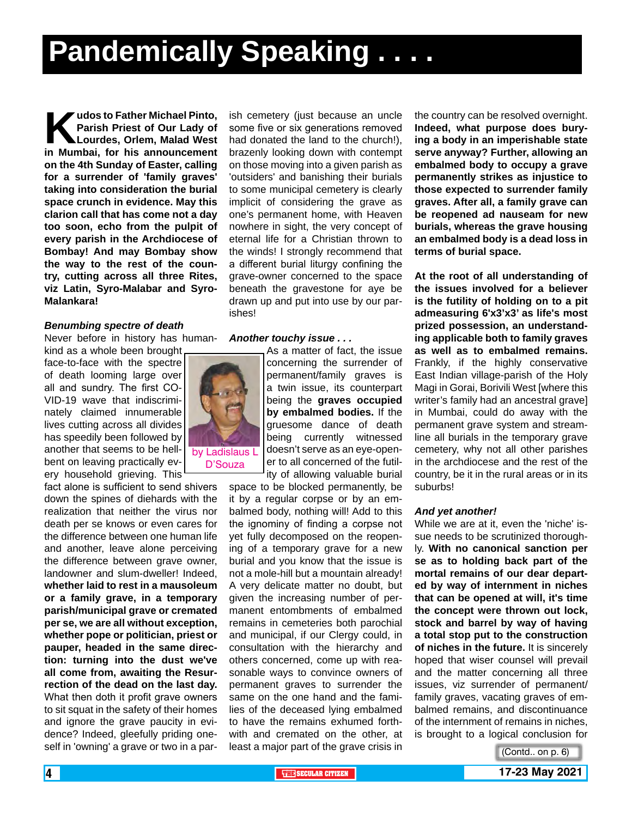**Kudos to Father Michael Pinto, Parish Priest of Our Lady of Lourdes, Orlem, Malad West in Mumbai, for his announcement Parish Priest of Our Lady of Lourdes, Orlem, Malad West on the 4th Sunday of Easter, calling for a surrender of 'family graves' taking into consideration the burial space crunch in evidence. May this clarion call that has come not a day too soon, echo from the pulpit of every parish in the Archdiocese of Bombay! And may Bombay show the way to the rest of the country, cutting across all three Rites, viz Latin, Syro-Malabar and Syro-Malankara!**

### *Benumbing spectre of death*

Never before in history has human-

kind as a whole been brought face-to-face with the spectre of death looming large over all and sundry. The first CO-VID-19 wave that indiscriminately claimed innumerable lives cutting across all divides has speedily been followed by another that seems to be hellbent on leaving practically every household grieving. This

fact alone is sufficient to send shivers down the spines of diehards with the realization that neither the virus nor death per se knows or even cares for the difference between one human life and another, leave alone perceiving the difference between grave owner, landowner and slum-dweller! Indeed, **whether laid to rest in a mausoleum or a family grave, in a temporary parish/municipal grave or cremated per se, we are all without exception, whether pope or politician, priest or pauper, headed in the same direction: turning into the dust we've all come from, awaiting the Resurrection of the dead on the last day.** What then doth it profit grave owners to sit squat in the safety of their homes and ignore the grave paucity in evidence? Indeed, gleefully priding oneself in 'owning' a grave or two in a par-

ish cemetery (just because an uncle some five or six generations removed had donated the land to the church!), brazenly looking down with contempt on those moving into a given parish as 'outsiders' and banishing their burials to some municipal cemetery is clearly implicit of considering the grave as one's permanent home, with Heaven nowhere in sight, the very concept of eternal life for a Christian thrown to the winds! I strongly recommend that a different burial liturgy confining the grave-owner concerned to the space beneath the gravestone for aye be drawn up and put into use by our parishes!

### *Another touchy issue . . .*



As a matter of fact, the issue concerning the surrender of permanent/family graves is a twin issue, its counterpart being the **graves occupied by embalmed bodies.** If the gruesome dance of death being currently witnessed doesn't serve as an eye-opener to all concerned of the futility of allowing valuable burial

space to be blocked permanently, be it by a regular corpse or by an embalmed body, nothing will! Add to this the ignominy of finding a corpse not yet fully decomposed on the reopening of a temporary grave for a new burial and you know that the issue is not a mole-hill but a mountain already! A very delicate matter no doubt, but given the increasing number of permanent entombments of embalmed remains in cemeteries both parochial and municipal, if our Clergy could, in consultation with the hierarchy and others concerned, come up with reasonable ways to convince owners of permanent graves to surrender the same on the one hand and the families of the deceased lying embalmed to have the remains exhumed forthwith and cremated on the other, at least a major part of the grave crisis in

the country can be resolved overnight. **Indeed, what purpose does burying a body in an imperishable state serve anyway? Further, allowing an embalmed body to occupy a grave permanently strikes as injustice to those expected to surrender family graves. After all, a family grave can be reopened ad nauseam for new burials, whereas the grave housing an embalmed body is a dead loss in terms of burial space.** 

**At the root of all understanding of the issues involved for a believer is the futility of holding on to a pit admeasuring 6'x3'x3' as life's most prized possession, an understanding applicable both to family graves as well as to embalmed remains.** Frankly, if the highly conservative East Indian village-parish of the Holy Magi in Gorai, Borivili West [where this writer's family had an ancestral grave] in Mumbai, could do away with the permanent grave system and streamline all burials in the temporary grave cemetery, why not all other parishes in the archdiocese and the rest of the country, be it in the rural areas or in its suburbs!

#### *And yet another!*

While we are at it, even the 'niche' issue needs to be scrutinized thoroughly. **With no canonical sanction per se as to holding back part of the mortal remains of our dear departed by way of internment in niches that can be opened at will, it's time the concept were thrown out lock, stock and barrel by way of having a total stop put to the construction of niches in the future.** It is sincerely hoped that wiser counsel will prevail and the matter concerning all three issues, viz surrender of permanent/ family graves, vacating graves of embalmed remains, and discontinuance of the internment of remains in niches, is brought to a logical conclusion for

<sup>(</sup>Contd.. on p. 6)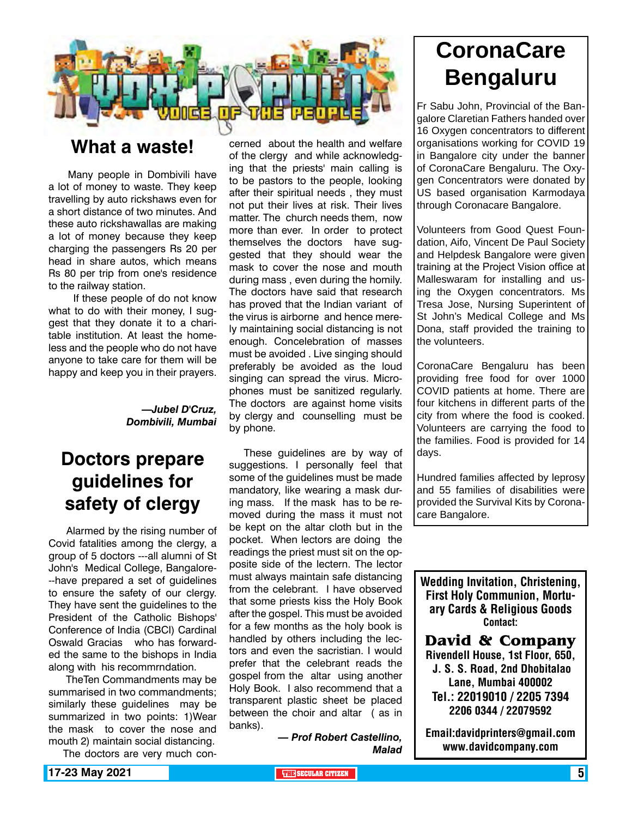

### **What a waste!**

 Many people in Dombivili have a lot of money to waste. They keep travelling by auto rickshaws even for a short distance of two minutes. And these auto rickshawallas are making a lot of money because they keep charging the passengers Rs 20 per head in share autos, which means Rs 80 per trip from one's residence to the railway station.

 If these people of do not know what to do with their money, I suggest that they donate it to a charitable institution. At least the homeless and the people who do not have anyone to take care for them will be happy and keep you in their prayers.

### *—Jubel D'Cruz, Dombivili, Mumbai*

### **Doctors prepare guidelines for safety of clergy**

 Alarmed by the rising number of Covid fatalities among the clergy, a group of 5 doctors ---all alumni of St John's Medical College, Bangalore- --have prepared a set of guidelines to ensure the safety of our clergy. They have sent the guidelines to the President of the Catholic Bishops' Conference of India (CBCI) Cardinal Oswald Gracias who has forwarded the same to the bishops in India along with his recommrndation.

 TheTen Commandments may be summarised in two commandments; similarly these guidelines may be summarized in two points: 1)Wear the mask to cover the nose and mouth 2) maintain social distancing.

The doctors are very much con-

cerned about the health and welfare of the clergy and while acknowledging that the priests' main calling is to be pastors to the people, looking after their spiritual needs , they must not put their lives at risk. Their lives matter. The church needs them, now more than ever. In order to protect themselves the doctors have suggested that they should wear the mask to cover the nose and mouth during mass , even during the homily. The doctors have said that research has proved that the Indian variant of the virus is airborne and hence merely maintaining social distancing is not enough. Concelebration of masses must be avoided . Live singing should preferably be avoided as the loud singing can spread the virus. Microphones must be sanitized regularly. The doctors are against home visits by clergy and counselling must be by phone.

These guidelines are by way of suggestions. I personally feel that some of the guidelines must be made mandatory, like wearing a mask during mass. If the mask has to be removed during the mass it must not be kept on the altar cloth but in the pocket. When lectors are doing the readings the priest must sit on the opposite side of the lectern. The lector must always maintain safe distancing from the celebrant. I have observed that some priests kiss the Holy Book after the gospel. This must be avoided for a few months as the holy book is handled by others including the lectors and even the sacristian. I would prefer that the celebrant reads the gospel from the altar using another Holy Book. I also recommend that a transparent plastic sheet be placed between the choir and altar ( as in banks).

> *— Prof Robert Castellino, Malad*

## **CoronaCare Bengaluru**

Fr Sabu John, Provincial of the Bangalore Claretian Fathers handed over 16 Oxygen concentrators to different organisations working for COVID 19 in Bangalore city under the banner of CoronaCare Bengaluru. The Oxygen Concentrators were donated by US based organisation Karmodaya through Coronacare Bangalore.

Volunteers from Good Quest Foundation, Aifo, Vincent De Paul Society and Helpdesk Bangalore were given training at the Project Vision office at Malleswaram for installing and using the Oxygen concentrators. Ms Tresa Jose, Nursing Superintent of St John's Medical College and Ms Dona, staff provided the training to the volunteers.

CoronaCare Bengaluru has been providing free food for over 1000 COVID patients at home. There are four kitchens in different parts of the city from where the food is cooked. Volunteers are carrying the food to the families. Food is provided for 14 days.

Hundred families affected by leprosy and 55 families of disabilities were provided the Survival Kits by Coronacare Bangalore.

Wedding Invitation, Christening, First Holy Communion, Mortuary Cards & Religious Goods Contact:

**David & Company** Rivendell House, 1st Floor, 650, J. S. S. Road, 2nd Dhobitalao Lane, Mumbai 400002 Tel.: 22019010 / 2205 7394 2206 0344 / 22079592

Email:davidprinters@gmail.com www.davidcompany.com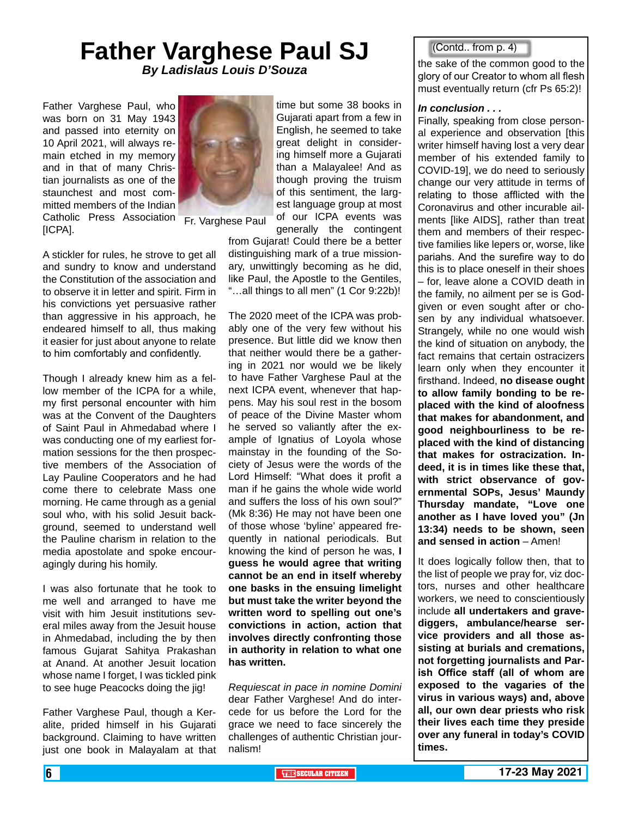### **Father Varghese Paul SJ** *By Ladislaus Louis D'Souza*

Father Varghese Paul, who was born on 31 May 1943 and passed into eternity on 10 April 2021, will always remain etched in my memory and in that of many Christian journalists as one of the staunchest and most committed members of the Indian Catholic Press Association [ICPA].



A stickler for rules, he strove to get all and sundry to know and understand the Constitution of the association and to observe it in letter and spirit. Firm in his convictions yet persuasive rather than aggressive in his approach, he endeared himself to all, thus making it easier for just about anyone to relate to him comfortably and confidently.

Though I already knew him as a fellow member of the ICPA for a while, my first personal encounter with him was at the Convent of the Daughters of Saint Paul in Ahmedabad where I was conducting one of my earliest formation sessions for the then prospective members of the Association of Lay Pauline Cooperators and he had come there to celebrate Mass one morning. He came through as a genial soul who, with his solid Jesuit background, seemed to understand well the Pauline charism in relation to the media apostolate and spoke encouragingly during his homily.

I was also fortunate that he took to me well and arranged to have me visit with him Jesuit institutions several miles away from the Jesuit house in Ahmedabad, including the by then famous Gujarat Sahitya Prakashan at Anand. At another Jesuit location whose name I forget, I was tickled pink to see huge Peacocks doing the jig!

Father Varghese Paul, though a Keralite, prided himself in his Gujarati background. Claiming to have written just one book in Malayalam at that time but some 38 books in Gujarati apart from a few in English, he seemed to take great delight in considering himself more a Gujarati than a Malayalee! And as though proving the truism of this sentiment, the largest language group at most of our ICPA events was

Fr. Varghese Paul

generally the contingent from Gujarat! Could there be a better distinguishing mark of a true missionary, unwittingly becoming as he did, like Paul, the Apostle to the Gentiles, "…all things to all men" (1 Cor 9:22b)!

The 2020 meet of the ICPA was probably one of the very few without his presence. But little did we know then that neither would there be a gathering in 2021 nor would we be likely to have Father Varghese Paul at the next ICPA event, whenever that happens. May his soul rest in the bosom of peace of the Divine Master whom he served so valiantly after the example of Ignatius of Loyola whose mainstay in the founding of the Society of Jesus were the words of the Lord Himself: "What does it profit a man if he gains the whole wide world and suffers the loss of his own soul?" (Mk 8:36) He may not have been one of those whose 'byline' appeared frequently in national periodicals. But knowing the kind of person he was, **I guess he would agree that writing cannot be an end in itself whereby one basks in the ensuing limelight but must take the writer beyond the written word to spelling out one's convictions in action, action that involves directly confronting those in authority in relation to what one has written.**

*Requiescat in pace in nomine Domini* dear Father Varghese! And do intercede for us before the Lord for the grace we need to face sincerely the challenges of authentic Christian journalism!

### (Contd.. from p. 4)

the sake of the common good to the glory of our Creator to whom all flesh must eventually return (cfr Ps 65:2)!

### *In conclusion . . .*

Finally, speaking from close personal experience and observation [this writer himself having lost a very dear member of his extended family to COVID-19], we do need to seriously change our very attitude in terms of relating to those afflicted with the Coronavirus and other incurable ailments [like AIDS], rather than treat them and members of their respective families like lepers or, worse, like pariahs. And the surefire way to do this is to place oneself in their shoes – for, leave alone a COVID death in the family, no ailment per se is Godgiven or even sought after or chosen by any individual whatsoever. Strangely, while no one would wish the kind of situation on anybody, the fact remains that certain ostracizers learn only when they encounter it firsthand. Indeed, **no disease ought to allow family bonding to be replaced with the kind of aloofness that makes for abandonment, and good neighbourliness to be replaced with the kind of distancing that makes for ostracization. Indeed, it is in times like these that, with strict observance of governmental SOPs, Jesus' Maundy Thursday mandate, "Love one another as I have loved you" (Jn 13:34) needs to be shown, seen and sensed in action** – Amen!

It does logically follow then, that to the list of people we pray for, viz doctors, nurses and other healthcare workers, we need to conscientiously include **all undertakers and gravediggers, ambulance/hearse service providers and all those assisting at burials and cremations, not forgetting journalists and Parish Office staff (all of whom are exposed to the vagaries of the virus in various ways) and, above all, our own dear priests who risk their lives each time they preside over any funeral in today's COVID times.**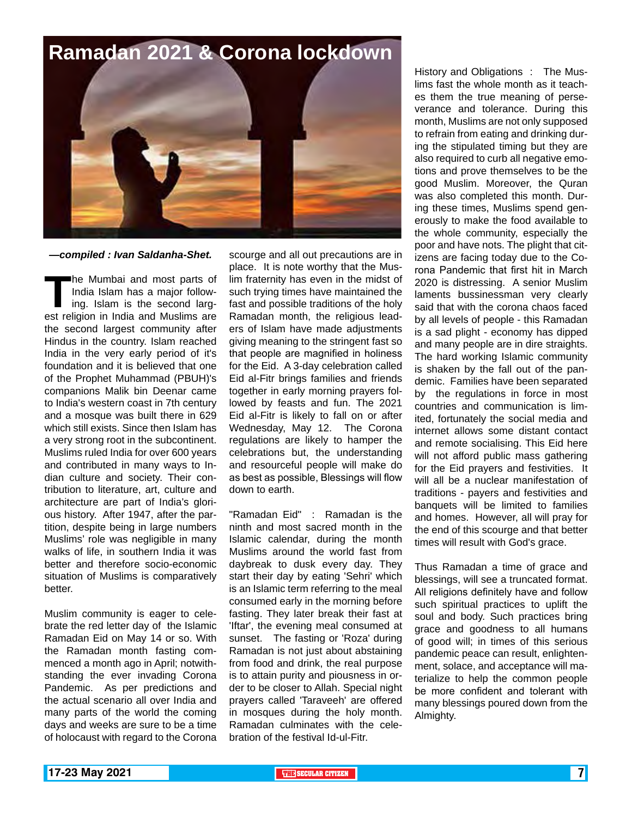## **Ramadan 2021 & Corona lockdown**



### *—compiled : Ivan Saldanha-Shet.*

**The Mumbai and most parts of India Islam has a major following. Islam is the second largest religion in India and Muslims are** India Islam has a major following. Islam is the second largthe second largest community after Hindus in the country. Islam reached India in the very early period of it's foundation and it is believed that one of the Prophet Muhammad (PBUH)'s companions Malik bin Deenar came to India's western coast in 7th century and a mosque was built there in 629 which still exists. Since then Islam has a very strong root in the subcontinent. Muslims ruled India for over 600 years and contributed in many ways to Indian culture and society. Their contribution to literature, art, culture and architecture are part of India's glorious history. After 1947, after the partition, despite being in large numbers Muslims' role was negligible in many walks of life, in southern India it was better and therefore socio-economic situation of Muslims is comparatively better.

Muslim community is eager to celebrate the red letter day of the Islamic Ramadan Eid on May 14 or so. With the Ramadan month fasting commenced a month ago in April; notwithstanding the ever invading Corona Pandemic. As per predictions and the actual scenario all over India and many parts of the world the coming days and weeks are sure to be a time of holocaust with regard to the Corona

scourge and all out precautions are in place. It is note worthy that the Muslim fraternity has even in the midst of such trying times have maintained the fast and possible traditions of the holy Ramadan month, the religious leaders of Islam have made adjustments giving meaning to the stringent fast so that people are magnified in holiness for the Eid. A 3-day celebration called Eid al-Fitr brings families and friends together in early morning prayers followed by feasts and fun. The 2021 Eid al-Fitr is likely to fall on or after Wednesday, May 12. The Corona regulations are likely to hamper the celebrations but, the understanding and resourceful people will make do as best as possible, Blessings will flow down to earth.

"Ramadan Eid" : Ramadan is the ninth and most sacred month in the Islamic calendar, during the month Muslims around the world fast from daybreak to dusk every day. They start their day by eating 'Sehri' which is an Islamic term referring to the meal consumed early in the morning before fasting. They later break their fast at 'Iftar', the evening meal consumed at sunset. The fasting or 'Roza' during Ramadan is not just about abstaining from food and drink, the real purpose is to attain purity and piousness in order to be closer to Allah. Special night prayers called 'Taraveeh' are offered in mosques during the holy month. Ramadan culminates with the celebration of the festival Id-ul-Fitr.

History and Obligations : The Muslims fast the whole month as it teaches them the true meaning of perseverance and tolerance. During this month, Muslims are not only supposed to refrain from eating and drinking during the stipulated timing but they are also required to curb all negative emotions and prove themselves to be the good Muslim. Moreover, the Quran was also completed this month. During these times, Muslims spend generously to make the food available to the whole community, especially the poor and have nots. The plight that citizens are facing today due to the Corona Pandemic that first hit in March 2020 is distressing. A senior Muslim laments bussinessman very clearly said that with the corona chaos faced by all levels of people - this Ramadan is a sad plight - economy has dipped and many people are in dire straights. The hard working Islamic community is shaken by the fall out of the pandemic. Families have been separated by the regulations in force in most countries and communication is limited, fortunately the social media and internet allows some distant contact and remote socialising. This Eid here will not afford public mass gathering for the Eid prayers and festivities. It will all be a nuclear manifestation of traditions - payers and festivities and banquets will be limited to families and homes. However, all will pray for the end of this scourge and that better times will result with God's grace.

Thus Ramadan a time of grace and blessings, will see a truncated format. All religions definitely have and follow such spiritual practices to uplift the soul and body. Such practices bring grace and goodness to all humans of good will; in times of this serious pandemic peace can result, enlightenment, solace, and acceptance will materialize to help the common people be more confident and tolerant with many blessings poured down from the Almighty.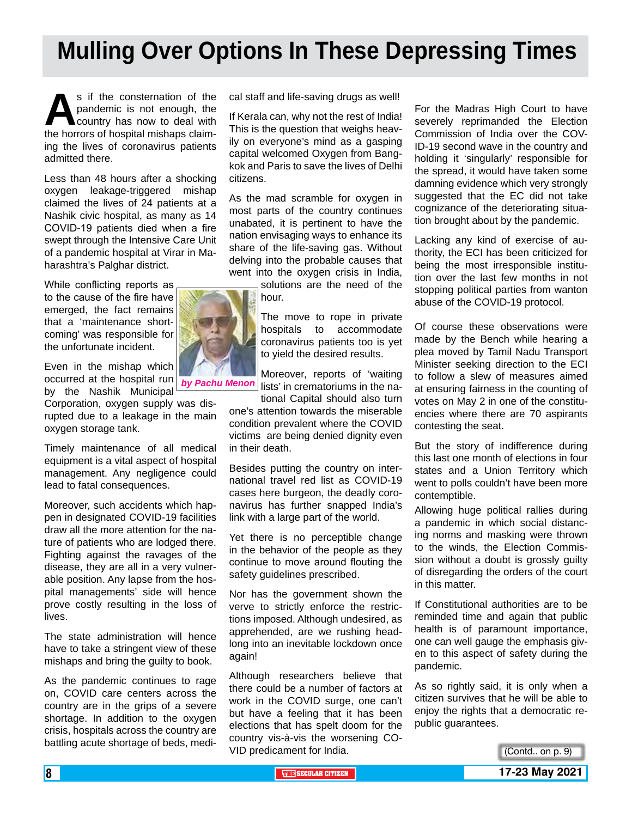# **Mulling Over Options In These Depressing Times**

s if the consternation of the pandemic is not enough, the country has now to deal with the horrors of hospital mishaps claimpandemic is not enough, the country has now to deal with ing the lives of coronavirus patients admitted there.

Less than 48 hours after a shocking oxygen leakage-triggered mishap claimed the lives of 24 patients at a Nashik civic hospital, as many as 14 COVID-19 patients died when a fire swept through the Intensive Care Unit of a pandemic hospital at Virar in Maharashtra's Palghar district.

While conflicting reports as to the cause of the fire have emerged, the fact remains that a 'maintenance shortcoming' was responsible for the unfortunate incident.

Even in the mishap which occurred at the hospital run by the Nashik Municipal

Corporation, oxygen supply was disrupted due to a leakage in the main oxygen storage tank.

Timely maintenance of all medical equipment is a vital aspect of hospital management. Any negligence could lead to fatal consequences.

Moreover, such accidents which happen in designated COVID-19 facilities draw all the more attention for the nature of patients who are lodged there. Fighting against the ravages of the disease, they are all in a very vulnerable position. Any lapse from the hospital managements' side will hence prove costly resulting in the loss of lives.

The state administration will hence have to take a stringent view of these mishaps and bring the guilty to book.

As the pandemic continues to rage on, COVID care centers across the country are in the grips of a severe shortage. In addition to the oxygen crisis, hospitals across the country are battling acute shortage of beds, medical staff and life-saving drugs as well!

If Kerala can, why not the rest of India! This is the question that weighs heavily on everyone's mind as a gasping capital welcomed Oxygen from Bangkok and Paris to save the lives of Delhi citizens.

As the mad scramble for oxygen in most parts of the country continues unabated, it is pertinent to have the nation envisaging ways to enhance its share of the life-saving gas. Without delving into the probable causes that went into the oxygen crisis in India,

solutions are the need of the hour.

The move to rope in private hospitals to accommodate coronavirus patients too is yet to yield the desired results.

Moreover, reports of 'waiting lists' in crematoriums in the na-

tional Capital should also turn one's attention towards the miserable condition prevalent where the COVID victims are being denied dignity even in their death.

Besides putting the country on international travel red list as COVID-19 cases here burgeon, the deadly coronavirus has further snapped India's link with a large part of the world.

Yet there is no perceptible change in the behavior of the people as they continue to move around flouting the safety guidelines prescribed.

Nor has the government shown the verve to strictly enforce the restrictions imposed. Although undesired, as apprehended, are we rushing headlong into an inevitable lockdown once again!

Although researchers believe that there could be a number of factors at work in the COVID surge, one can't but have a feeling that it has been elections that has spelt doom for the country vis-à-vis the worsening CO-VID predicament for India.

For the Madras High Court to have severely reprimanded the Election Commission of India over the COV-ID-19 second wave in the country and holding it 'singularly' responsible for the spread, it would have taken some damning evidence which very strongly suggested that the EC did not take cognizance of the deteriorating situation brought about by the pandemic.

Lacking any kind of exercise of authority, the ECI has been criticized for being the most irresponsible institution over the last few months in not stopping political parties from wanton abuse of the COVID-19 protocol.

Of course these observations were made by the Bench while hearing a plea moved by Tamil Nadu Transport Minister seeking direction to the ECI to follow a slew of measures aimed at ensuring fairness in the counting of votes on May 2 in one of the constituencies where there are 70 aspirants contesting the seat.

But the story of indifference during this last one month of elections in four states and a Union Territory which went to polls couldn't have been more contemptible.

Allowing huge political rallies during a pandemic in which social distancing norms and masking were thrown to the winds, the Election Commission without a doubt is grossly guilty of disregarding the orders of the court in this matter.

If Constitutional authorities are to be reminded time and again that public health is of paramount importance, one can well gauge the emphasis given to this aspect of safety during the pandemic.

As so rightly said, it is only when a citizen survives that he will be able to enjoy the rights that a democratic republic guarantees.



*by Pachu Menon*

(Contd.. on p. 9)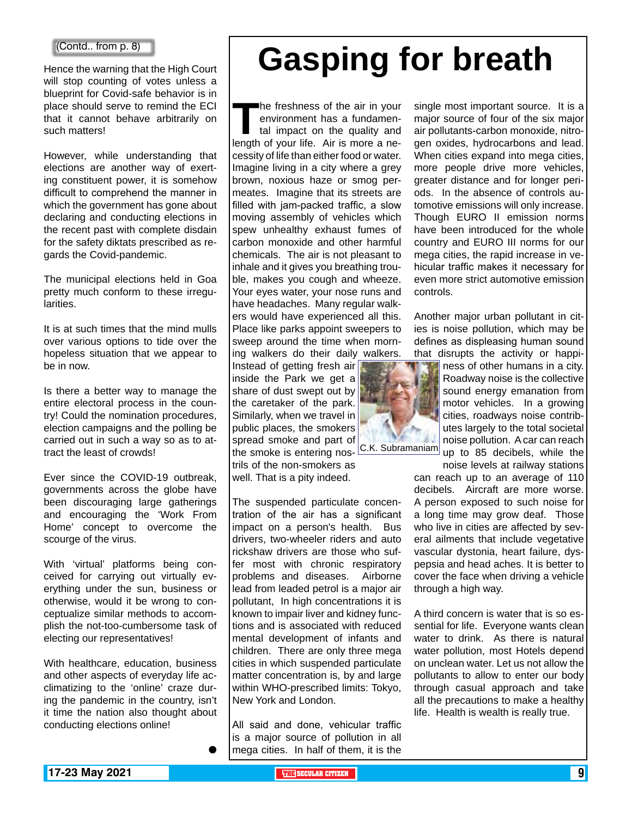Hence the warning that the High Court will stop counting of votes unless a blueprint for Covid-safe behavior is in place should serve to remind the ECI that it cannot behave arbitrarily on such matters!

However, while understanding that elections are another way of exerting constituent power, it is somehow difficult to comprehend the manner in which the government has gone about declaring and conducting elections in the recent past with complete disdain for the safety diktats prescribed as regards the Covid-pandemic.

The municipal elections held in Goa pretty much conform to these irregularities.

It is at such times that the mind mulls over various options to tide over the hopeless situation that we appear to be in now.

Is there a better way to manage the entire electoral process in the country! Could the nomination procedures, election campaigns and the polling be carried out in such a way so as to attract the least of crowds!

Ever since the COVID-19 outbreak, governments across the globe have been discouraging large gatherings and encouraging the 'Work From Home' concept to overcome the scourge of the virus.

With 'virtual' platforms being conceived for carrying out virtually everything under the sun, business or otherwise, would it be wrong to conceptualize similar methods to accomplish the not-too-cumbersome task of electing our representatives!

With healthcare, education, business and other aspects of everyday life acclimatizing to the 'online' craze during the pandemic in the country, isn't it time the nation also thought about conducting elections online!

 $\bullet$ 

# **Gasping for breath**

**The freshness of the air in your<br>
environment has a fundamen-<br>
tal impact on the quality and<br>
length of your life. Air is more a ne**environment has a fundamental impact on the quality and cessity of life than either food or water. Imagine living in a city where a grey brown, noxious haze or smog permeates. Imagine that its streets are filled with jam-packed traffic, a slow moving assembly of vehicles which spew unhealthy exhaust fumes of carbon monoxide and other harmful chemicals. The air is not pleasant to inhale and it gives you breathing trouble, makes you cough and wheeze. Your eyes water, your nose runs and have headaches. Many regular walkers would have experienced all this. Place like parks appoint sweepers to sweep around the time when morning walkers do their daily walkers.

Instead of getting fresh air inside the Park we get a share of dust swept out by the caretaker of the park. Similarly, when we travel in public places, the smokers spread smoke and part of the smoke is entering nos- C.K. Subramaniam trils of the non-smokers as well. That is a pity indeed.

The suspended particulate concentration of the air has a significant impact on a person's health. Bus drivers, two-wheeler riders and auto rickshaw drivers are those who suffer most with chronic respiratory problems and diseases. Airborne lead from leaded petrol is a major air pollutant, In high concentrations it is known to impair liver and kidney functions and is associated with reduced mental development of infants and children. There are only three mega cities in which suspended particulate matter concentration is, by and large within WHO-prescribed limits: Tokyo, New York and London.

All said and done, vehicular traffic is a major source of pollution in all mega cities. In half of them, it is the single most important source. It is a major source of four of the six major air pollutants-carbon monoxide, nitrogen oxides, hydrocarbons and lead. When cities expand into mega cities, more people drive more vehicles, greater distance and for longer periods. In the absence of controls automotive emissions will only increase. Though EURO II emission norms have been introduced for the whole country and EURO III norms for our mega cities, the rapid increase in vehicular traffic makes it necessary for even more strict automotive emission controls.

Another major urban pollutant in cities is noise pollution, which may be defines as displeasing human sound that disrupts the activity or happi-



ness of other humans in a city. Roadway noise is the collective sound energy emanation from motor vehicles. In a growing cities, roadways noise contributes largely to the total societal noise pollution. A car can reach up to 85 decibels, while the

noise levels at railway stations can reach up to an average of 110 decibels. Aircraft are more worse. A person exposed to such noise for a long time may grow deaf. Those who live in cities are affected by several ailments that include vegetative vascular dystonia, heart failure, dyspepsia and head aches. It is better to cover the face when driving a vehicle through a high way.

A third concern is water that is so essential for life. Everyone wants clean water to drink. As there is natural water pollution, most Hotels depend on unclean water. Let us not allow the pollutants to allow to enter our body through casual approach and take all the precautions to make a healthy life. Health is wealth is really true.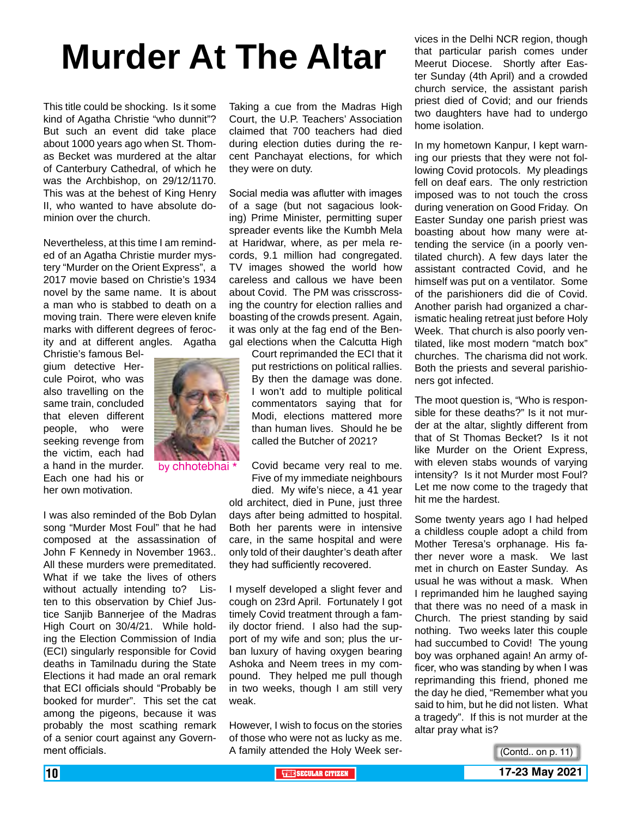# **Murder At The Altar**

This title could be shocking. Is it some kind of Agatha Christie "who dunnit"? But such an event did take place about 1000 years ago when St. Thomas Becket was murdered at the altar of Canterbury Cathedral, of which he was the Archbishop, on 29/12/1170. This was at the behest of King Henry II, who wanted to have absolute dominion over the church.

Nevertheless, at this time I am reminded of an Agatha Christie murder mystery "Murder on the Orient Express", a 2017 movie based on Christie's 1934 novel by the same name. It is about a man who is stabbed to death on a moving train. There were eleven knife marks with different degrees of ferocity and at different angles. Agatha

Christie's famous Belgium detective Hercule Poirot, who was also travelling on the same train, concluded that eleven different people, who were seeking revenge from the victim, each had a hand in the murder. Each one had his or her own motivation.



I was also reminded of the Bob Dylan song "Murder Most Foul" that he had composed at the assassination of John F Kennedy in November 1963.. All these murders were premeditated. What if we take the lives of others without actually intending to? Listen to this observation by Chief Justice Sanjib Bannerjee of the Madras High Court on 30/4/21. While holding the Election Commission of India (ECI) singularly responsible for Covid deaths in Tamilnadu during the State Elections it had made an oral remark that ECI officials should "Probably be booked for murder". This set the cat among the pigeons, because it was probably the most scathing remark of a senior court against any Government officials.

Taking a cue from the Madras High Court, the U.P. Teachers' Association claimed that 700 teachers had died during election duties during the recent Panchayat elections, for which they were on duty.

Social media was aflutter with images of a sage (but not sagacious looking) Prime Minister, permitting super spreader events like the Kumbh Mela at Haridwar, where, as per mela records, 9.1 million had congregated. TV images showed the world how careless and callous we have been about Covid. The PM was crisscrossing the country for election rallies and boasting of the crowds present. Again, it was only at the fag end of the Bengal elections when the Calcutta High

> Court reprimanded the ECI that it put restrictions on political rallies. By then the damage was done. I won't add to multiple political commentators saying that for Modi, elections mattered more than human lives. Should he be called the Butcher of 2021?

> Covid became very real to me. Five of my immediate neighbours died. My wife's niece, a 41 year

old architect, died in Pune, just three days after being admitted to hospital. Both her parents were in intensive care, in the same hospital and were only told of their daughter's death after they had sufficiently recovered.

I myself developed a slight fever and cough on 23rd April. Fortunately I got timely Covid treatment through a family doctor friend. I also had the support of my wife and son; plus the urban luxury of having oxygen bearing Ashoka and Neem trees in my compound. They helped me pull though in two weeks, though I am still very weak.

However, I wish to focus on the stories of those who were not as lucky as me. A family attended the Holy Week services in the Delhi NCR region, though that particular parish comes under Meerut Diocese. Shortly after Easter Sunday (4th April) and a crowded church service, the assistant parish priest died of Covid; and our friends two daughters have had to undergo home isolation.

In my hometown Kanpur, I kept warning our priests that they were not following Covid protocols. My pleadings fell on deaf ears. The only restriction imposed was to not touch the cross during veneration on Good Friday. On Easter Sunday one parish priest was boasting about how many were attending the service (in a poorly ventilated church). A few days later the assistant contracted Covid, and he himself was put on a ventilator. Some of the parishioners did die of Covid. Another parish had organized a charismatic healing retreat just before Holy Week. That church is also poorly ventilated, like most modern "match box" churches. The charisma did not work. Both the priests and several parishioners got infected.

The moot question is, "Who is responsible for these deaths?" Is it not murder at the altar, slightly different from that of St Thomas Becket? Is it not like Murder on the Orient Express, with eleven stabs wounds of varying intensity? Is it not Murder most Foul? Let me now come to the tragedy that hit me the hardest.

Some twenty years ago I had helped a childless couple adopt a child from Mother Teresa's orphanage. His father never wore a mask. We last met in church on Easter Sunday. As usual he was without a mask. When I reprimanded him he laughed saying that there was no need of a mask in Church. The priest standing by said nothing. Two weeks later this couple had succumbed to Covid! The young boy was orphaned again! An army officer, who was standing by when I was reprimanding this friend, phoned me the day he died, "Remember what you said to him, but he did not listen. What a tragedy". If this is not murder at the altar pray what is?



**10 THE THE SECULAR CITIZEN 17-23 May 2021**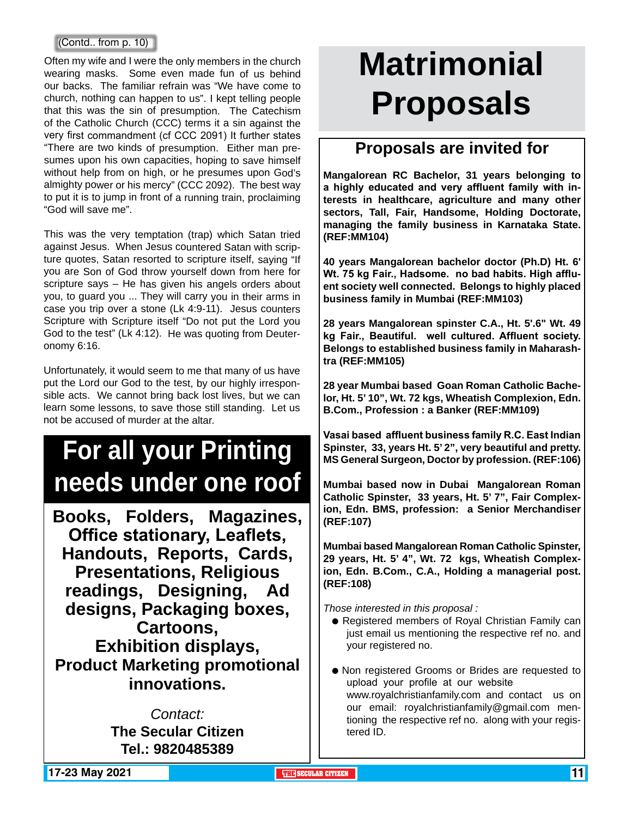### (Contd.. from p. 10)

Often my wife and I were the only members in the church wearing masks. Some even made fun of us behind our backs. The familiar refrain was "We have come to church, nothing can happen to us". I kept telling people that this was the sin of presumption. The Catechism of the Catholic Church (CCC) terms it a sin against the very first commandment (cf CCC 2091) It further states "There are two kinds of presumption. Either man presumes upon his own capacities, hoping to save himself without help from on high, or he presumes upon God's almighty power or his mercy" (CCC 2092). The best way to put it is to jump in front of a running train, proclaiming "God will save me".

This was the very temptation (trap) which Satan tried against Jesus. When Jesus countered Satan with scripture quotes, Satan resorted to scripture itself, saying "If you are Son of God throw yourself down from here for scripture says – He has given his angels orders about you, to guard you ... They will carry you in their arms in case you trip over a stone (Lk 4:9-11). Jesus counters Scripture with Scripture itself "Do not put the Lord you God to the test" (Lk 4:12). He was quoting from Deuteronomy 6:16.

Unfortunately, it would seem to me that many of us have put the Lord our God to the test, by our highly irresponsible acts. We cannot bring back lost lives, but we can learn some lessons, to save those still standing. Let us not be accused of murder at the altar.

# **For all your Printing needs under one roof**

**Books, Folders, Magazines, Office stationary, Leaflets, Handouts, Reports, Cards, Presentations, Religious readings, Designing, Ad designs, Packaging boxes, Cartoons, Exhibition displays, Product Marketing promotional innovations.**

> *Contact:* **The Secular Citizen Tel.: 9820485389**

# **Matrimonial Proposals**

### **Proposals are invited for**

**Mangalorean RC Bachelor, 31 years belonging to a highly educated and very affluent family with interests in healthcare, agriculture and many other sectors, Tall, Fair, Handsome, Holding Doctorate, managing the family business in Karnataka State. (REF:MM104)**

**40 years Mangalorean bachelor doctor (Ph.D) Ht. 6' Wt. 75 kg Fair., Hadsome. no bad habits. High affluent society well connected. Belongs to highly placed business family in Mumbai (REF:MM103)**

**28 years Mangalorean spinster C.A., Ht. 5'.6" Wt. 49 kg Fair., Beautiful. well cultured. Affluent society. Belongs to established business family in Maharashtra (REF:MM105)**

**28 year Mumbai based Goan Roman Catholic Bachelor, Ht. 5' 10", Wt. 72 kgs, Wheatish Complexion, Edn. B.Com., Profession : a Banker (REF:MM109)**

**Vasai based affluent business family R.C. East Indian Spinster, 33, years Ht. 5' 2", very beautiful and pretty. MS General Surgeon, Doctor by profession. (REF:106)**

**Mumbai based now in Dubai Mangalorean Roman Catholic Spinster, 33 years, Ht. 5' 7", Fair Complexion, Edn. BMS, profession: a Senior Merchandiser (REF:107)**

**Mumbai based Mangalorean Roman Catholic Spinster, 29 years, Ht. 5' 4", Wt. 72 kgs, Wheatish Complexion, Edn. B.Com., C.A., Holding a managerial post. (REF:108)** 

*Those interested in this proposal :*

- Registered members of Royal Christian Family can just email us mentioning the respective ref no. and your registered no.
- Non registered Grooms or Brides are requested to upload your profile at our website www.royalchristianfamily.com and contact us on our email: royalchristianfamily@gmail.com mentioning the respective ref no. along with your registered ID.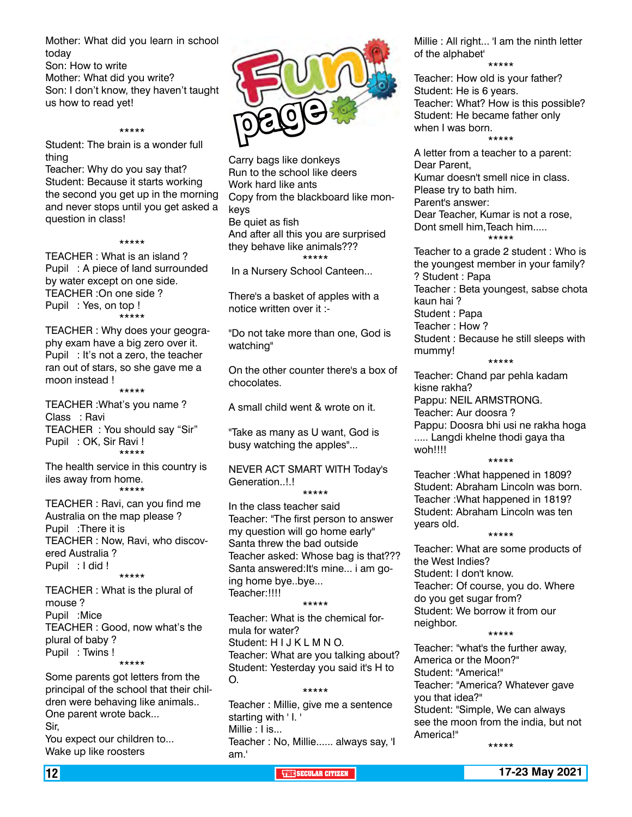Mother: What did you learn in school today Son: How to write Mother: What did you write? Son: I don't know, they haven't taught us how to read yet!

Student: The brain is a wonder full thing

\*\*\*\*\*

Teacher: Why do you say that? Student: Because it starts working the second you get up in the morning and never stops until you get asked a question in class!

\*\*\*\*\*

TEACHER : What is an island ? Pupil : A piece of land surrounded by water except on one side. TEACHER :On one side ? Pupil : Yes, on top ! \*\*\*\*\*

TEACHER : Why does your geography exam have a big zero over it. Pupil : It's not a zero, the teacher ran out of stars, so she gave me a moon instead !

\*\*\*\*\*

TEACHER :What's you name ? Class : Ravi TEACHER : You should say "Sir" Pupil : OK, Sir Ravi ! \*\*\*\*\*

The health service in this country is iles away from home. \*\*\*\*\*

TEACHER : Ravi, can you find me Australia on the map please ? Pupil :There it is TEACHER : Now, Ravi, who discovered Australia ? Pupil : I did ! \*\*\*\*\*

TEACHER : What is the plural of mouse ? Pupil :Mice TEACHER : Good, now what's the plural of baby ? Pupil : Twins ! \*\*\*\*\*

Some parents got letters from the principal of the school that their children were behaving like animals.. One parent wrote back... Sir, You expect our children to... Wake up like roosters



Carry bags like donkeys Run to the school like deers Work hard like ants Copy from the blackboard like monkeys Be quiet as fish And after all this you are surprised they behave like animals??? \*\*\*\*\*

In a Nursery School Canteen...

There's a basket of apples with a notice written over it :-

"Do not take more than one, God is watching"

On the other counter there's a box of chocolates.

A small child went & wrote on it.

"Take as many as U want, God is busy watching the apples"...

NEVER ACT SMART WITH Today's Generation..!.!

\*\*\*\*\* In the class teacher said Teacher: "The first person to answer my question will go home early" Santa threw the bad outside Teacher asked: Whose bag is that??? Santa answered:It's mine... i am going home bye..bye... Teacher:!!!!

\*\*\*\*\*

Teacher: What is the chemical formula for water? Student: HIJKLMNO. Teacher: What are you talking about? Student: Yesterday you said it's H to O. \*\*\*\*\*

Teacher : Millie, give me a sentence starting with ' I. ' Millie : I is... Teacher : No, Millie...... always say, 'I am.'

Millie : All right... 'I am the ninth letter of the alphabet' \*\*\*\*\*

Teacher: How old is your father? Student: He is 6 years. Teacher: What? How is this possible? Student: He became father only when I was born.

\*\*\*\*\* A letter from a teacher to a parent: Dear Parent, Kumar doesn't smell nice in class. Please try to bath him. Parent's answer: Dear Teacher, Kumar is not a rose, Dont smell him,Teach him..... \*\*\*\*\*

Teacher to a grade 2 student : Who is the youngest member in your family? ? Student : Papa Teacher : Beta youngest, sabse chota kaun hai ? Student : Papa Teacher : How ? Student : Because he still sleeps with mummy!

\*\*\*\*\*

Teacher: Chand par pehla kadam kisne rakha? Pappu: NEIL ARMSTRONG. Teacher: Aur doosra ? Pappu: Doosra bhi usi ne rakha hoga ..... Langdi khelne thodi gaya tha woh!!!! \*\*\*\*\*

Teacher :What happened in 1809? Student: Abraham Lincoln was born. Teacher :What happened in 1819? Student: Abraham Lincoln was ten years old. \*\*\*\*\*

Teacher: What are some products of the West Indies? Student: I don't know. Teacher: Of course, you do. Where do you get sugar from? Student: We borrow it from our neighbor.

\*\*\*\*\*

Teacher: "what's the further away, America or the Moon?" Student: "America!" Teacher: "America? Whatever gave you that idea?" Student: "Simple, We can always see the moon from the india, but not America!" \*\*\*\*\*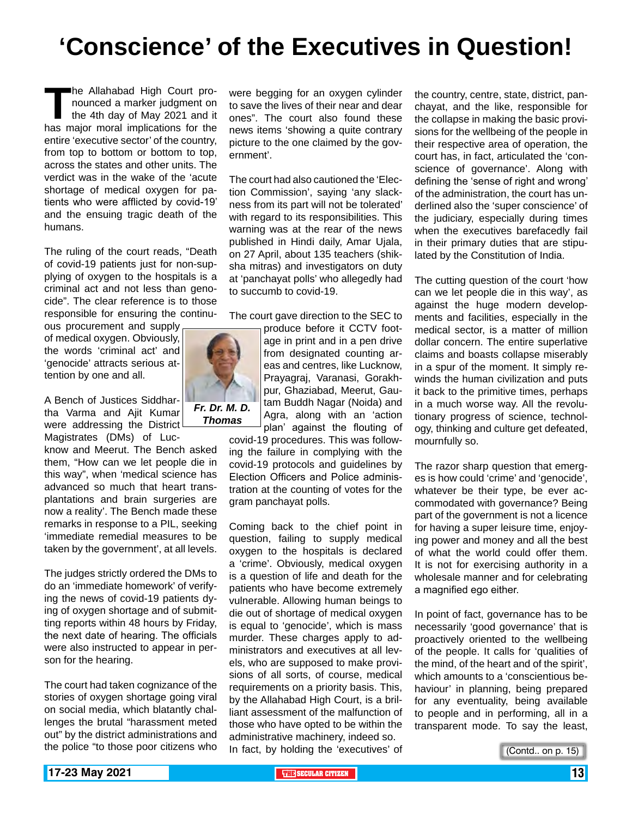# **'Conscience' of the Executives in Question!**

The Allahabad High Court pro-<br>
nounced a marker judgment on<br>
the 4th day of May 2021 and it<br>
has major moral implications for the nounced a marker judgment on the 4th day of May 2021 and it entire 'executive sector' of the country, from top to bottom or bottom to top, across the states and other units. The verdict was in the wake of the 'acute shortage of medical oxygen for patients who were afflicted by covid-19' and the ensuing tragic death of the humans.

The ruling of the court reads, "Death of covid-19 patients just for non-supplying of oxygen to the hospitals is a criminal act and not less than genocide". The clear reference is to those responsible for ensuring the continu-

ous procurement and supply of medical oxygen. Obviously, the words 'criminal act' and 'genocide' attracts serious attention by one and all.

A Bench of Justices Siddhartha Varma and Ajit Kumar were addressing the District Magistrates (DMs) of Luc-

know and Meerut. The Bench asked them, "How can we let people die in this way", when 'medical science has advanced so much that heart transplantations and brain surgeries are now a reality'. The Bench made these remarks in response to a PIL, seeking 'immediate remedial measures to be taken by the government', at all levels.

The judges strictly ordered the DMs to do an 'immediate homework' of verifying the news of covid-19 patients dying of oxygen shortage and of submitting reports within 48 hours by Friday, the next date of hearing. The officials were also instructed to appear in person for the hearing.

The court had taken cognizance of the stories of oxygen shortage going viral on social media, which blatantly challenges the brutal "harassment meted out" by the district administrations and the police "to those poor citizens who

were begging for an oxygen cylinder to save the lives of their near and dear ones". The court also found these news items 'showing a quite contrary picture to the one claimed by the government'.

The court had also cautioned the 'Election Commission', saying 'any slackness from its part will not be tolerated' with regard to its responsibilities. This warning was at the rear of the news published in Hindi daily, Amar Ujala, on 27 April, about 135 teachers (shiksha mitras) and investigators on duty at 'panchayat polls' who allegedly had to succumb to covid-19.

The court gave direction to the SEC to

produce before it CCTV footage in print and in a pen drive from designated counting areas and centres, like Lucknow, Prayagraj, Varanasi, Gorakhpur, Ghaziabad, Meerut, Gautam Buddh Nagar (Noida) and Agra, along with an 'action plan' against the flouting of

covid-19 procedures. This was following the failure in complying with the covid-19 protocols and guidelines by Election Officers and Police administration at the counting of votes for the gram panchayat polls.

Coming back to the chief point in question, failing to supply medical oxygen to the hospitals is declared a 'crime'. Obviously, medical oxygen is a question of life and death for the patients who have become extremely vulnerable. Allowing human beings to die out of shortage of medical oxygen is equal to 'genocide', which is mass murder. These charges apply to administrators and executives at all levels, who are supposed to make provisions of all sorts, of course, medical requirements on a priority basis. This, by the Allahabad High Court, is a brilliant assessment of the malfunction of those who have opted to be within the administrative machinery, indeed so. In fact, by holding the 'executives' of

the country, centre, state, district, panchayat, and the like, responsible for the collapse in making the basic provisions for the wellbeing of the people in their respective area of operation, the court has, in fact, articulated the 'conscience of governance'. Along with defining the 'sense of right and wrong' of the administration, the court has underlined also the 'super conscience' of the judiciary, especially during times when the executives barefacedly fail in their primary duties that are stipulated by the Constitution of India.

The cutting question of the court 'how can we let people die in this way', as against the huge modern developments and facilities, especially in the medical sector, is a matter of million dollar concern. The entire superlative claims and boasts collapse miserably in a spur of the moment. It simply rewinds the human civilization and puts it back to the primitive times, perhaps in a much worse way. All the revolutionary progress of science, technology, thinking and culture get defeated, mournfully so.

The razor sharp question that emerges is how could 'crime' and 'genocide', whatever be their type, be ever accommodated with governance? Being part of the government is not a licence for having a super leisure time, enjoying power and money and all the best of what the world could offer them. It is not for exercising authority in a wholesale manner and for celebrating a magnified ego either.

In point of fact, governance has to be necessarily 'good governance' that is proactively oriented to the wellbeing of the people. It calls for 'qualities of the mind, of the heart and of the spirit', which amounts to a 'conscientious behaviour' in planning, being prepared for any eventuality, being available to people and in performing, all in a transparent mode. To say the least,

(Contd.. on p. 15)

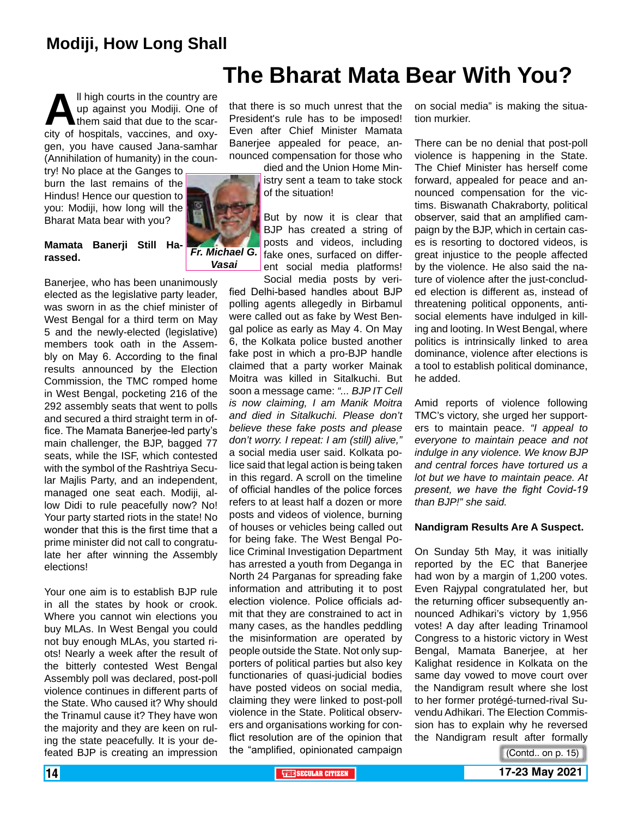### **Modiji, How Long Shall**

**All high courts in the country are up against you Modiji. One of them said that due to the scarcity of hospitals, vaccines, and oxy**up against you Modiji. One of them said that due to the scargen, you have caused Jana-samhar (Annihilation of humanity) in the coun-

try! No place at the Ganges to burn the last remains of the Hindus! Hence our question to you: Modiji, how long will the Bharat Mata bear with you?

### **Mamata Banerji Still Harassed.**

*Vasai*

Banerjee, who has been unanimously elected as the legislative party leader, was sworn in as the chief minister of West Bengal for a third term on May 5 and the newly-elected (legislative) members took oath in the Assembly on May 6. According to the final results announced by the Election Commission, the TMC romped home in West Bengal, pocketing 216 of the 292 assembly seats that went to polls and secured a third straight term in office. The Mamata Banerjee-led party's main challenger, the BJP, bagged 77 seats, while the ISF, which contested with the symbol of the Rashtriya Secular Majlis Party, and an independent, managed one seat each. Modiji, allow Didi to rule peacefully now? No! Your party started riots in the state! No wonder that this is the first time that a prime minister did not call to congratulate her after winning the Assembly elections!

Your one aim is to establish BJP rule in all the states by hook or crook. Where you cannot win elections you buy MLAs. In West Bengal you could not buy enough MLAs, you started riots! Nearly a week after the result of the bitterly contested West Bengal Assembly poll was declared, post-poll violence continues in different parts of the State. Who caused it? Why should the Trinamul cause it? They have won the majority and they are keen on ruling the state peacefully. It is your defeated BJP is creating an impression

### **The Bharat Mata Bear With You?**

that there is so much unrest that the President's rule has to be imposed! Even after Chief Minister Mamata Banerjee appealed for peace, announced compensation for those who

died and the Union Home Ministry sent a team to take stock of the situation!

But by now it is clear that BJP has created a string of posts and videos, including *Fr. Michael G.* fake ones, surfaced on different social media platforms! Social media posts by veri-

fied Delhi-based handles about BJP polling agents allegedly in Birbamul were called out as fake by West Bengal police as early as May 4. On May 6, the Kolkata police busted another fake post in which a pro-BJP handle claimed that a party worker Mainak Moitra was killed in Sitalkuchi. But soon a message came: *"... BJP IT Cell is now claiming, I am Manik Moitra and died in Sitalkuchi. Please don't believe these fake posts and please don't worry. I repeat: I am (still) alive,"* a social media user said. Kolkata police said that legal action is being taken in this regard. A scroll on the timeline of official handles of the police forces refers to at least half a dozen or more posts and videos of violence, burning of houses or vehicles being called out for being fake. The West Bengal Police Criminal Investigation Department has arrested a youth from Deganga in North 24 Parganas for spreading fake information and attributing it to post election violence. Police officials admit that they are constrained to act in many cases, as the handles peddling the misinformation are operated by people outside the State. Not only supporters of political parties but also key functionaries of quasi-judicial bodies have posted videos on social media, claiming they were linked to post-poll violence in the State. Political observers and organisations working for conflict resolution are of the opinion that the "amplified, opinionated campaign

on social media" is making the situation murkier.

There can be no denial that post-poll violence is happening in the State. The Chief Minister has herself come forward, appealed for peace and announced compensation for the victims. Biswanath Chakraborty, political observer, said that an amplified campaign by the BJP, which in certain cases is resorting to doctored videos, is great injustice to the people affected by the violence. He also said the nature of violence after the just-concluded election is different as, instead of threatening political opponents, antisocial elements have indulged in killing and looting. In West Bengal, where politics is intrinsically linked to area dominance, violence after elections is a tool to establish political dominance, he added.

Amid reports of violence following TMC's victory, she urged her supporters to maintain peace. *"I appeal to everyone to maintain peace and not indulge in any violence. We know BJP and central forces have tortured us a lot but we have to maintain peace. At present, we have the fight Covid-19 than BJP!" she said.*

### **Nandigram Results Are A Suspect.**

On Sunday 5th May, it was initially reported by the EC that Banerjee had won by a margin of 1,200 votes. Even Rajypal congratulated her, but the returning officer subsequently announced Adhikari's victory by 1,956 votes! A day after leading Trinamool Congress to a historic victory in West Bengal, Mamata Banerjee, at her Kalighat residence in Kolkata on the same day vowed to move court over the Nandigram result where she lost to her former protégé-turned-rival Suvendu Adhikari. The Election Commission has to explain why he reversed the Nandigram result after formally

(Contd.. on p. 15)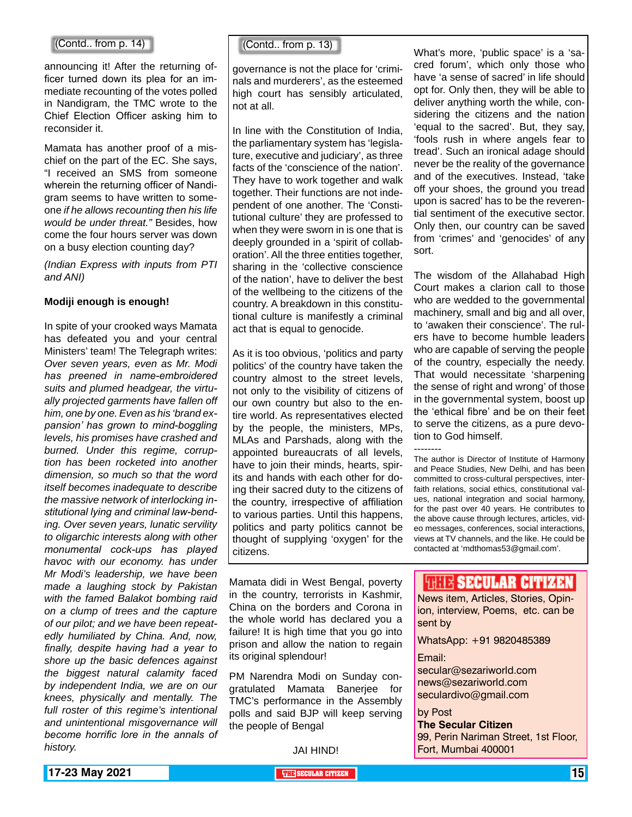#### (Contd.. from p. 14)

announcing it! After the returning officer turned down its plea for an immediate recounting of the votes polled in Nandigram, the TMC wrote to the Chief Election Officer asking him to reconsider it.

Mamata has another proof of a mischief on the part of the EC. She says, "I received an SMS from someone wherein the returning officer of Nandigram seems to have written to someone *if he allows recounting then his life would be under threat."* Besides, how come the four hours server was down on a busy election counting day?

*(Indian Express with inputs from PTI and ANI)*

### **Modiji enough is enough!**

In spite of your crooked ways Mamata has defeated you and your central Ministers' team! The Telegraph writes: *Over seven years, even as Mr. Modi has preened in name-embroidered suits and plumed headgear, the virtually projected garments have fallen off him, one by one. Even as his 'brand expansion' has grown to mind-boggling levels, his promises have crashed and burned. Under this regime, corruption has been rocketed into another dimension, so much so that the word itself becomes inadequate to describe the massive network of interlocking institutional lying and criminal law-bending. Over seven years, lunatic servility to oligarchic interests along with other monumental cock-ups has played havoc with our economy. has under Mr Modi's leadership, we have been made a laughing stock by Pakistan with the famed Balakot bombing raid on a clump of trees and the capture of our pilot; and we have been repeatedly humiliated by China. And, now, finally, despite having had a year to shore up the basic defences against the biggest natural calamity faced by independent India, we are on our knees, physically and mentally. The full roster of this regime's intentional and unintentional misgovernance will become horrific lore in the annals of history.*

(Contd.. from p. 13)

governance is not the place for 'criminals and murderers', as the esteemed high court has sensibly articulated, not at all.

In line with the Constitution of India, the parliamentary system has 'legislature, executive and judiciary', as three facts of the 'conscience of the nation'. They have to work together and walk together. Their functions are not independent of one another. The 'Constitutional culture' they are professed to when they were sworn in is one that is deeply grounded in a 'spirit of collaboration'. All the three entities together, sharing in the 'collective conscience of the nation', have to deliver the best of the wellbeing to the citizens of the country. A breakdown in this constitutional culture is manifestly a criminal act that is equal to genocide.

As it is too obvious, 'politics and party politics' of the country have taken the country almost to the street levels, not only to the visibility of citizens of our own country but also to the entire world. As representatives elected by the people, the ministers, MPs, MLAs and Parshads, along with the appointed bureaucrats of all levels, have to join their minds, hearts, spirits and hands with each other for doing their sacred duty to the citizens of the country, irrespective of affiliation to various parties. Until this happens, politics and party politics cannot be thought of supplying 'oxygen' for the citizens.

What's more, 'public space' is a 'sacred forum', which only those who have 'a sense of sacred' in life should opt for. Only then, they will be able to deliver anything worth the while, considering the citizens and the nation 'equal to the sacred'. But, they say, 'fools rush in where angels fear to tread'. Such an ironical adage should never be the reality of the governance and of the executives. Instead, 'take off your shoes, the ground you tread upon is sacred' has to be the reverential sentiment of the executive sector. Only then, our country can be saved from 'crimes' and 'genocides' of any sort.

The wisdom of the Allahabad High Court makes a clarion call to those who are wedded to the governmental machinery, small and big and all over, to 'awaken their conscience'. The rulers have to become humble leaders who are capable of serving the people of the country, especially the needy. That would necessitate 'sharpening the sense of right and wrong' of those in the governmental system, boost up the 'ethical fibre' and be on their feet to serve the citizens, as a pure devotion to God himself.

--------

The author is Director of Institute of Harmony and Peace Studies, New Delhi, and has been committed to cross-cultural perspectives, interfaith relations, social ethics, constitutional values, national integration and social harmony, for the past over 40 years. He contributes to the above cause through lectures, articles, video messages, conferences, social interactions, views at TV channels, and the like. He could be contacted at 'mdthomas53@gmail.com'.

Mamata didi in West Bengal, poverty in the country, terrorists in Kashmir, China on the borders and Corona in the whole world has declared you a failure! It is high time that you go into prison and allow the nation to regain its original splendour!

PM Narendra Modi on Sunday congratulated Mamata Banerjee for TMC's performance in the Assembly polls and said BJP will keep serving the people of Bengal

JAI HIND!

### **WHIS SECULAR CITIZEN**

News item, Articles, Stories, Opinion, interview, Poems, etc. can be sent by

WhatsApp: +91 9820485389

#### Email:

secular@sezariworld.com news@sezariworld.com seculardivo@gmail.com

#### by Post

**The Secular Citizen** 99, Perin Nariman Street, 1st Floor, Fort, Mumbai 400001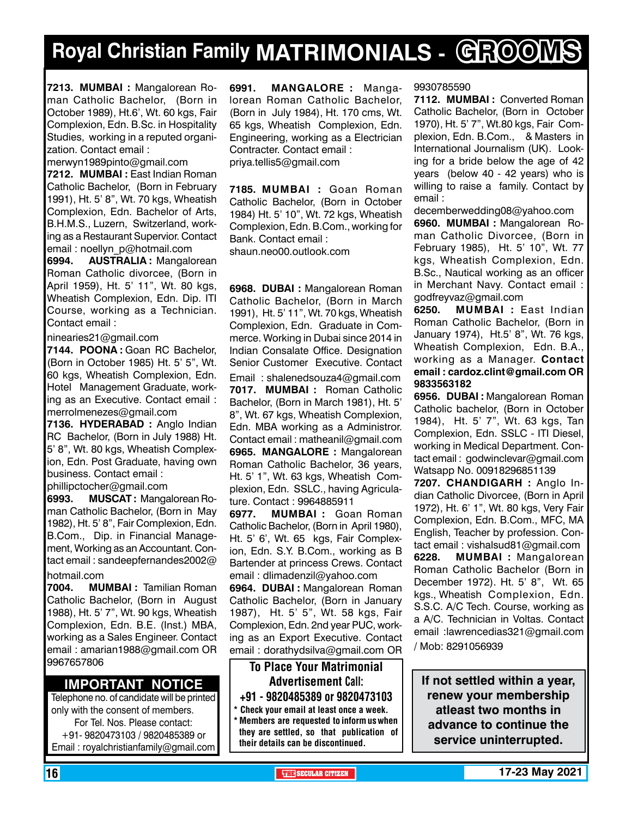# **Royal Christian Family MATRIMONIALS - GROOMS**

**7213. MUMBAI :** Mangalorean Roman Catholic Bachelor, (Born in October 1989), Ht.6', Wt. 60 kgs, Fair Complexion, Edn. B.Sc. in Hospitality Studies, working in a reputed organization. Contact email :

merwyn1989pinto@gmail.com

**7212. MUMBAI :** East Indian Roman Catholic Bachelor, (Born in February 1991), Ht. 5' 8", Wt. 70 kgs, Wheatish Complexion, Edn. Bachelor of Arts, B.H.M.S., Luzern, Switzerland, working as a Restaurant Supervior. Contact email : noellyn\_p@hotmail.com

**6994. AUSTRALIA :** Mangalorean Roman Catholic divorcee, (Born in April 1959), Ht. 5' 11", Wt. 80 kgs, Wheatish Complexion, Edn. Dip. ITI Course, working as a Technician. Contact email :

ninearies21@gmail.com

**7144. POONA :** Goan RC Bachelor, (Born in October 1985) Ht. 5' 5", Wt. 60 kgs, Wheatish Complexion, Edn. Hotel Management Graduate, working as an Executive. Contact email : merrolmenezes@gmail.com

**7136. HYDERABAD :** Anglo Indian RC Bachelor, (Born in July 1988) Ht. 5' 8", Wt. 80 kgs, Wheatish Complexion, Edn. Post Graduate, having own business. Contact email :

phillipctocher@gmail.com

**6993. MUSCAT :** Mangalorean Roman Catholic Bachelor, (Born in May 1982), Ht. 5' 8", Fair Complexion, Edn. B.Com., Dip. in Financial Management, Working as an Accountant. Contact email : sandeepfernandes2002@

### hotmail.com

**7004. MUMBAI :** Tamilian Roman Catholic Bachelor, (Born in August 1988), Ht. 5' 7", Wt. 90 kgs, Wheatish Complexion, Edn. B.E. (Inst.) MBA, working as a Sales Engineer. Contact email : amarian1988@gmail.com OR 9967657806

### **Important Notice**

Telephone no. of candidate will be printed only with the consent of members. For Tel. Nos. Please contact: +91- 9820473103 / 9820485389 or Email : royalchristianfamily@gmail.com **6991. MANGALORE :** Mangalorean Roman Catholic Bachelor, (Born in July 1984), Ht. 170 cms, Wt. 65 kgs, Wheatish Complexion, Edn. Engineering, working as a Electrician Contracter. Contact email : priya.tellis5@gmail.com

**7185. MUMBAI :** Goan Roman Catholic Bachelor, (Born in October 1984) Ht. 5' 10", Wt. 72 kgs, Wheatish Complexion, Edn. B.Com., working for Bank. Contact email : shaun.neo00.outlook.com

**6968. DUBAI :** Mangalorean Roman Catholic Bachelor, (Born in March 1991), Ht. 5' 11", Wt. 70 kgs, Wheatish Complexion, Edn. Graduate in Commerce. Working in Dubai since 2014 in Indian Consalate Office. Designation Senior Customer Executive. Contact Email : shalenedsouza4@gmail.com **7017. MUMBAI :** Roman Catholic Bachelor, (Born in March 1981), Ht. 5' 8", Wt. 67 kgs, Wheatish Complexion, Edn. MBA working as a Administror. Contact email : matheanil@gmail.com **6965. MANGALORE :** Mangalorean Roman Catholic Bachelor, 36 years, Ht. 5' 1", Wt. 63 kgs, Wheatish Complexion, Edn. SSLC., having Agriculature. Contact : 9964885911

**6977. MUMBAI :** Goan Roman Catholic Bachelor, (Born in April 1980), Ht. 5' 6', Wt. 65 kgs, Fair Complexion, Edn. S.Y. B.Com., working as B Bartender at princess Crews. Contact email : dlimadenzil@yahoo.com

**6964. DUBAI :** Mangalorean Roman Catholic Bachelor, (Born in January 1987), Ht. 5' 5", Wt. 58 kgs, Fair Complexion, Edn. 2nd year PUC, working as an Export Executive. Contact email : dorathydsilva@gmail.com OR

### To Place Your Matrimonial Advertisement Call: +91 - 9820485389 or 9820473103

Check your email at least once a week.  $*$  Members are requested to inform us when they are settled, so that publication of their details can be discontinued.

### 9930785590

**7112. MUMBAI :** Converted Roman Catholic Bachelor, (Born in October 1970), Ht. 5' 7", Wt.80 kgs, Fair Complexion, Edn. B.Com., & Masters in International Journalism (UK). Looking for a bride below the age of 42 years (below 40 - 42 years) who is willing to raise a family. Contact by email :

decemberwedding08@yahoo.com **6960. MUMBAI :** Mangalorean Roman Catholic Divorcee, (Born in February 1985), Ht. 5' 10", Wt. 77 kgs, Wheatish Complexion, Edn. B.Sc., Nautical working as an officer in Merchant Navy. Contact email : godfreyvaz@gmail.com

**6250. MUMBAI :** East Indian Roman Catholic Bachelor, (Born in January 1974), Ht.5' 8", Wt. 76 kgs, Wheatish Complexion, Edn. B.A., working as a Manager. Contact email : cardoz.clint@gmail.com OR 9833563182

**6956. DUBAI :** Mangalorean Roman Catholic bachelor, (Born in October 1984), Ht. 5' 7", Wt. 63 kgs, Tan Complexion, Edn. SSLC - ITI Diesel, working in Medical Department. Contact email : godwinclevar@gmail.com Watsapp No. 00918296851139

**7207. Chandigarh :** Anglo Indian Catholic Divorcee, (Born in April 1972), Ht. 6' 1", Wt. 80 kgs, Very Fair Complexion, Edn. B.Com., MFC, MA English, Teacher by profession. Contact email : vishalsud81@gmail.com **6228. MUMBAI :** Mangalorean Roman Catholic Bachelor (Born in December 1972). Ht. 5' 8", Wt. 65 kgs., Wheatish Complexion, Edn. S.S.C. A/C Tech. Course, working as a A/C. Technician in Voltas. Contact email :lawrencedias321@gmail.com

/ Mob: 8291056939

**If not settled within a year, renew your membership atleast two months in advance to continue the service uninterrupted.**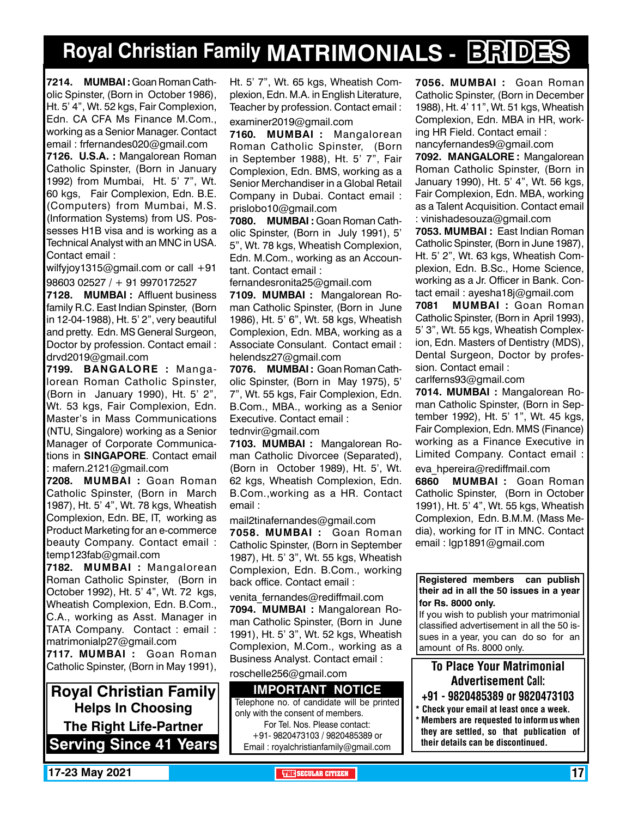# **Royal Christian Family MATRIMONIALS - BRIDES**

**7214. MUMBAI :** Goan Roman Catholic Spinster, (Born in October 1986), Ht. 5' 4", Wt. 52 kgs, Fair Complexion, Edn. CA CFA Ms Finance M.Com., working as a Senior Manager. Contact email : frfernandes020@gmail.com

**7126. U.S.A. :** Mangalorean Roman Catholic Spinster, (Born in January 1992) from Mumbai, Ht. 5' 7", Wt. 60 kgs, Fair Complexion, Edn. B.E. (Computers) from Mumbai, M.S. (Information Systems) from US. Possesses H1B visa and is working as a Technical Analyst with an MNC in USA. Contact email :

wilfyjoy1315@gmail.com or call +91 98603 02527 / + 91 9970172527

**7128. MUMBAI :** Affluent business family R.C. East Indian Spinster, (Born in 12-04-1988), Ht. 5' 2", very beautiful and pretty. Edn. MS General Surgeon, Doctor by profession. Contact email : drvd2019@gmail.com

**7199. BANGALORE :** Mangalorean Roman Catholic Spinster, (Born in January 1990), Ht. 5' 2", Wt. 53 kgs, Fair Complexion, Edn. Master's in Mass Communications (NTU, Singalore) working as a Senior Manager of Corporate Communications in **SINGAPORE**. Contact email : mafern.2121@gmail.com

**7208. MUMBAI :** Goan Roman Catholic Spinster, (Born in March 1987), Ht. 5' 4", Wt. 78 kgs, Wheatish Complexion, Edn. BE, IT, working as Product Marketing for an e-commerce beauty Company. Contact email : temp123fab@gmail.com

**7182. MUMBAI :** Mangalorean Roman Catholic Spinster, (Born in October 1992), Ht. 5' 4", Wt. 72 kgs, Wheatish Complexion, Edn. B.Com., C.A., working as Asst. Manager in TATA Company. Contact : email : matrimonialp27@gmail.com

**7117. MUMBAI :** Goan Roman Catholic Spinster, (Born in May 1991),

**Royal Christian Family Helps In Choosing The Right Life-Partner Serving Since 41 Years** Ht. 5' 7", Wt. 65 kgs, Wheatish Complexion, Edn. M.A. in English Literature, Teacher by profession. Contact email :

examiner2019@gmail.com

**7160. MUMBAI :** Mangalorean Roman Catholic Spinster, (Born in September 1988), Ht. 5' 7", Fair Complexion, Edn. BMS, working as a Senior Merchandiser in a Global Retail Company in Dubai. Contact email : prislobo10@gmail.com

**7080. MUMBAI :** Goan Roman Catholic Spinster, (Born in July 1991), 5' 5", Wt. 78 kgs, Wheatish Complexion, Edn. M.Com., working as an Accountant. Contact email :

fernandesronita25@gmail.com

**7109. MUMBAI :** Mangalorean Roman Catholic Spinster, (Born in June 1986), Ht. 5' 6", Wt. 58 kgs, Wheatish Complexion, Edn. MBA, working as a Associate Consulant. Contact email : helendsz27@gmail.com

**7076. MUMBAI :** Goan Roman Catholic Spinster, (Born in May 1975), 5' 7", Wt. 55 kgs, Fair Complexion, Edn. B.Com., MBA., working as a Senior Executive. Contact email :

tednvir@gmail.com

**7103. MUMBAI :** Mangalorean Roman Catholic Divorcee (Separated), (Born in October 1989), Ht. 5', Wt. 62 kgs, Wheatish Complexion, Edn. B.Com.,working as a HR. Contact email :

mail2tinafernandes@gmail.com

**7058. MUMBAI :** Goan Roman Catholic Spinster, (Born in September 1987), Ht. 5' 3", Wt. 55 kgs, Wheatish Complexion, Edn. B.Com., working back office. Contact email :

venita fernandes@rediffmail.com **7094. MUMBAI :** Mangalorean Roman Catholic Spinster, (Born in June 1991), Ht. 5' 3", Wt. 52 kgs, Wheatish Complexion, M.Com., working as a Business Analyst. Contact email :

roschelle256@gmail.com

#### **Important Notice** Telephone no. of candidate will be printed only with the consent of members. For Tel. Nos. Please contact: +91- 9820473103 / 9820485389 or Email : royalchristianfamily@gmail.com

**7056. MUMBAI :** Goan Roman Catholic Spinster, (Born in December 1988), Ht. 4' 11", Wt. 51 kgs, Wheatish Complexion, Edn. MBA in HR, working HR Field. Contact email : nancyfernandes9@gmail.com

**7092. M ANGALORE :** Mangalorean Roman Catholic Spinster, (Born in January 1990), Ht. 5' 4", Wt. 56 kgs, Fair Complexion, Edn. MBA, working as a Talent Acquisition. Contact email : vinishadesouza@gmail.com

**7053. MUMBAI :** East Indian Roman Catholic Spinster, (Born in June 1987), Ht. 5' 2", Wt. 63 kgs, Wheatish Complexion, Edn. B.Sc., Home Science, working as a Jr. Officer in Bank. Contact email : ayesha18j@gmail.com

**7081 MUMBAI :** Goan Roman Catholic Spinster, (Born in April 1993), 5' 3", Wt. 55 kgs, Wheatish Complexion, Edn. Masters of Dentistry (MDS), Dental Surgeon, Doctor by profession. Contact email :

carlferns93@gmail.com

**7014. MUMBAI :** Mangalorean Roman Catholic Spinster, (Born in September 1992), Ht. 5' 1", Wt. 45 kgs, Fair Complexion, Edn. MMS (Finance) working as a Finance Executive in Limited Company. Contact email :

eva\_hpereira@rediffmail.com

**6860 MUMBAI :** Goan Roman Catholic Spinster, (Born in October 1991), Ht. 5' 4", Wt. 55 kgs, Wheatish Complexion, Edn. B.M.M. (Mass Media), working for IT in MNC. Contact email : lgp1891@gmail.com

### **Registered members can publish their ad in all the 50 issues in a year for Rs. 8000 only.**

If you wish to publish your matrimonial classified advertisement in all the 50 issues in a year, you can do so for an amount of Rs. 8000 only.

### To Place Your Matrimonial Advertisement Call:

- +91 9820485389 or 9820473103
- Check your email at least once a week. \* Members are requested to inform us when they are settled, so that publication of their details can be discontinued.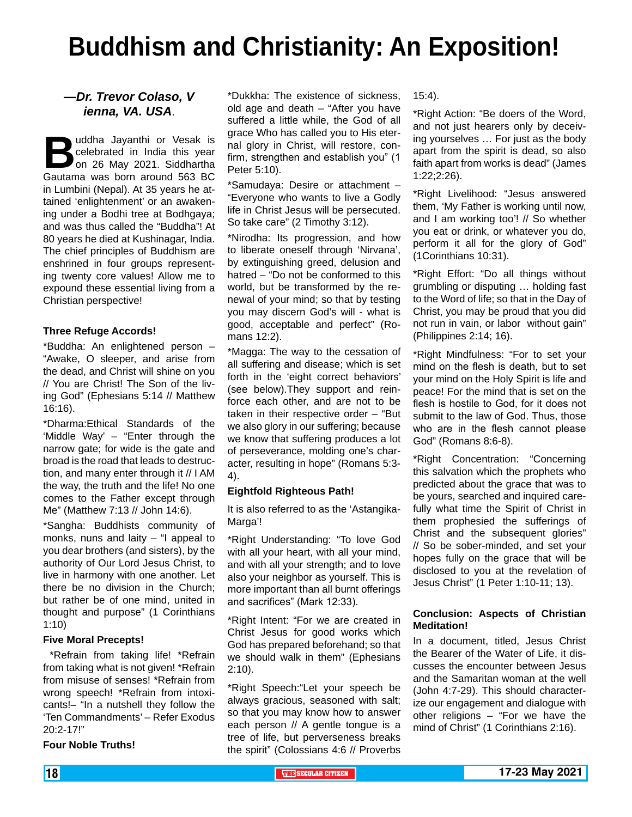# **Buddhism and Christianity: An Exposition!**

### *—Dr. Trevor Colaso, V ienna, VA. USA*.

**B**uddha Jayanthi or Vesak is celebrated in India this year on 26 May 2021. Siddhartha Gautama was born around 563 BC in Lumbini (Nepal). At 35 years he attained 'enlightenment' or an awakening under a Bodhi tree at Bodhgaya; and was thus called the "Buddha"! At 80 years he died at Kushinagar, India. The chief principles of Buddhism are enshrined in four groups representing twenty core values! Allow me to expound these essential living from a Christian perspective!

### **Three Refuge Accords!**

\*Buddha: An enlightened person – "Awake, O sleeper, and arise from the dead, and Christ will shine on you // You are Christ! The Son of the living God" (Ephesians 5:14 // Matthew 16:16).

\*Dharma:Ethical Standards of the 'Middle Way' – "Enter through the narrow gate; for wide is the gate and broad is the road that leads to destruction, and many enter through it // I AM the way, the truth and the life! No one comes to the Father except through Me" (Matthew 7:13 // John 14:6).

\*Sangha: Buddhists community of monks, nuns and laity  $-$  "I appeal to you dear brothers (and sisters), by the authority of Our Lord Jesus Christ, to live in harmony with one another. Let there be no division in the Church; but rather be of one mind, united in thought and purpose" (1 Corinthians 1:10)

#### **Five Moral Precepts!**

 \*Refrain from taking life! \*Refrain from taking what is not given! \*Refrain from misuse of senses! \*Refrain from wrong speech! \*Refrain from intoxicants!– "In a nutshell they follow the 'Ten Commandments' – Refer Exodus 20:2-17!"

**Four Noble Truths!**

\*Dukkha: The existence of sickness, old age and death – "After you have suffered a little while, the God of all grace Who has called you to His eternal glory in Christ, will restore, confirm, strengthen and establish you" (1 Peter 5:10).

\*Samudaya: Desire or attachment – "Everyone who wants to live a Godly life in Christ Jesus will be persecuted. So take care" (2 Timothy 3:12).

\*Nirodha: Its progression, and how to liberate oneself through 'Nirvana', by extinguishing greed, delusion and hatred – "Do not be conformed to this world, but be transformed by the renewal of your mind; so that by testing you may discern God's will - what is good, acceptable and perfect" (Romans 12:2).

\*Magga: The way to the cessation of all suffering and disease; which is set forth in the 'eight correct behaviors' (see below).They support and reinforce each other, and are not to be taken in their respective order – "But we also glory in our suffering; because we know that suffering produces a lot of perseverance, molding one's character, resulting in hope" (Romans 5:3- 4).

### **Eightfold Righteous Path!**

It is also referred to as the 'Astangika-Marga'!

\*Right Understanding: "To love God with all your heart, with all your mind, and with all your strength; and to love also your neighbor as yourself. This is more important than all burnt offerings and sacrifices" (Mark 12:33).

\*Right Intent: "For we are created in Christ Jesus for good works which God has prepared beforehand; so that we should walk in them" (Ephesians 2:10).

\*Right Speech:"Let your speech be always gracious, seasoned with salt; so that you may know how to answer each person // A gentle tongue is a tree of life, but perverseness breaks the spirit" (Colossians 4:6 // Proverbs

15:4).

\*Right Action: "Be doers of the Word, and not just hearers only by deceiving yourselves … For just as the body apart from the spirit is dead, so also faith apart from works is dead" (James 1:22;2:26).

\*Right Livelihood: "Jesus answered them, 'My Father is working until now, and I am working too'! // So whether you eat or drink, or whatever you do, perform it all for the glory of God" (1Corinthians 10:31).

\*Right Effort: "Do all things without grumbling or disputing … holding fast to the Word of life; so that in the Day of Christ, you may be proud that you did not run in vain, or labor without gain" (Philippines 2:14; 16).

\*Right Mindfulness: "For to set your mind on the flesh is death, but to set your mind on the Holy Spirit is life and peace! For the mind that is set on the flesh is hostile to God, for it does not submit to the law of God. Thus, those who are in the flesh cannot please God" (Romans 8:6-8).

\*Right Concentration: "Concerning this salvation which the prophets who predicted about the grace that was to be yours, searched and inquired carefully what time the Spirit of Christ in them prophesied the sufferings of Christ and the subsequent glories" // So be sober-minded, and set your hopes fully on the grace that will be disclosed to you at the revelation of Jesus Christ" (1 Peter 1:10-11; 13).

### **Conclusion: Aspects of Christian Meditation!**

In a document, titled, Jesus Christ the Bearer of the Water of Life, it discusses the encounter between Jesus and the Samaritan woman at the well (John 4:7-29). This should characterize our engagement and dialogue with other religions – "For we have the mind of Christ" (1 Corinthians 2:16).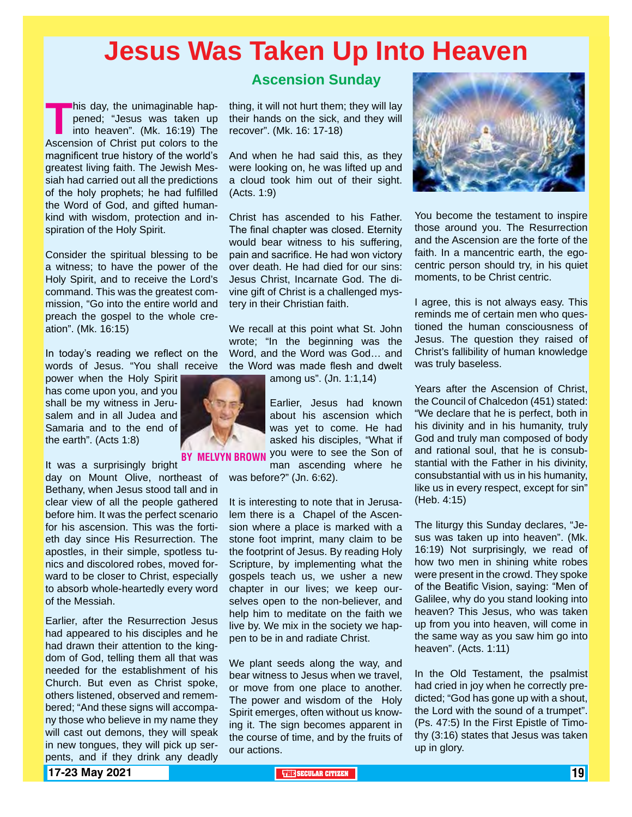## **Jesus Was Taken Up Into Heaven**

**This day, the unimaginable happened; "Jesus was taken up into heaven". (Mk. 16:19) The Ascension of Christ put colors to the** pened; "Jesus was taken up into heaven". (Mk. 16:19) The Ascension of Christ put colors to the magnificent true history of the world's greatest living faith. The Jewish Messiah had carried out all the predictions of the holy prophets; he had fulfilled the Word of God, and gifted humankind with wisdom, protection and inspiration of the Holy Spirit.

Consider the spiritual blessing to be a witness; to have the power of the Holy Spirit, and to receive the Lord's command. This was the greatest commission, "Go into the entire world and preach the gospel to the whole creation". (Mk. 16:15)

In today's reading we reflect on the words of Jesus. "You shall receive

power when the Holy Spirit has come upon you, and you shall be my witness in Jerusalem and in all Judea and Samaria and to the end of the earth". (Acts 1:8)

It was a surprisingly bright

day on Mount Olive, northeast of Bethany, when Jesus stood tall and in clear view of all the people gathered before him. It was the perfect scenario for his ascension. This was the fortieth day since His Resurrection. The apostles, in their simple, spotless tunics and discolored robes, moved forward to be closer to Christ, especially to absorb whole-heartedly every word of the Messiah.

Earlier, after the Resurrection Jesus had appeared to his disciples and he had drawn their attention to the kingdom of God, telling them all that was needed for the establishment of his Church. But even as Christ spoke, others listened, observed and remembered; "And these signs will accompany those who believe in my name they will cast out demons, they will speak in new tongues, they will pick up serpents, and if they drink any deadly

### **Ascension Sunday**

thing, it will not hurt them; they will lay their hands on the sick, and they will recover". (Mk. 16: 17-18)

And when he had said this, as they were looking on, he was lifted up and a cloud took him out of their sight. (Acts. 1:9)

Christ has ascended to his Father. The final chapter was closed. Eternity would bear witness to his suffering, pain and sacrifice. He had won victory over death. He had died for our sins: Jesus Christ, Incarnate God. The divine gift of Christ is a challenged mystery in their Christian faith.

We recall at this point what St. John wrote; "In the beginning was the Word, and the Word was God… and the Word was made flesh and dwelt

among us". (Jn. 1:1,14)

Earlier, Jesus had known about his ascension which was yet to come. He had asked his disciples, "What if

BY MELVYN BROWN you were to see the Son of man ascending where he was before?" (Jn. 6:62).

> It is interesting to note that in Jerusalem there is a Chapel of the Ascension where a place is marked with a stone foot imprint, many claim to be the footprint of Jesus. By reading Holy Scripture, by implementing what the gospels teach us, we usher a new chapter in our lives; we keep ourselves open to the non-believer, and help him to meditate on the faith we live by. We mix in the society we happen to be in and radiate Christ.

> We plant seeds along the way, and bear witness to Jesus when we travel, or move from one place to another. The power and wisdom of the Holy Spirit emerges, often without us knowing it. The sign becomes apparent in the course of time, and by the fruits of our actions.



You become the testament to inspire those around you. The Resurrection and the Ascension are the forte of the faith. In a mancentric earth, the egocentric person should try, in his quiet moments, to be Christ centric.

I agree, this is not always easy. This reminds me of certain men who questioned the human consciousness of Jesus. The question they raised of Christ's fallibility of human knowledge was truly baseless.

Years after the Ascension of Christ, the Council of Chalcedon (451) stated: "We declare that he is perfect, both in his divinity and in his humanity, truly God and truly man composed of body and rational soul, that he is consubstantial with the Father in his divinity, consubstantial with us in his humanity, like us in every respect, except for sin" (Heb. 4:15)

The liturgy this Sunday declares, "Jesus was taken up into heaven". (Mk. 16:19) Not surprisingly, we read of how two men in shining white robes were present in the crowd. They spoke of the Beatific Vision, saying: "Men of Galilee, why do you stand looking into heaven? This Jesus, who was taken up from you into heaven, will come in the same way as you saw him go into heaven". (Acts. 1:11)

In the Old Testament, the psalmist had cried in joy when he correctly predicted; "God has gone up with a shout, the Lord with the sound of a trumpet". (Ps. 47:5) In the First Epistle of Timothy (3:16) states that Jesus was taken up in glory.